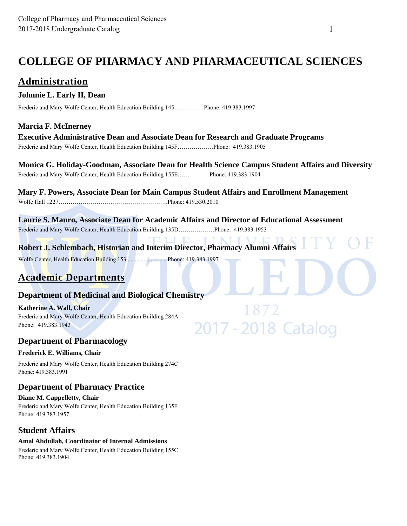## **COLLEGE OF PHARMACY AND PHARMACEUTICAL SCIENCES**

## **Administration**

### **Johnnie L. Early II, Dean**

Frederic and Mary Wolfe Center, Health Education Building 145……………Phone: 419.383.1997

### **Marcia F. McInerney**

**Executive Administrative Dean and Associate Dean for Research and Graduate Programs**  Frederic and Mary Wolfe Center, Health Education Building 145F………………Phone: 419.383.1905

**Monica G. Holiday-Goodman, Associate Dean for Health Science Campus Student Affairs and Diversity**  Frederic and Mary Wolfe Center, Health Education Building 155E…… Phone: 419.383.1904

**Mary F. Powers, Associate Dean for Main Campus Student Affairs and Enrollment Management** Wolfe Hall 1227……………………………………………….Phone: 419.530.2010

**Laurie S. Mauro, Associate Dean for Academic Affairs and Director of Educational Assessment**  Frederic and Mary Wolfe Center, Health Education Building 135D………………Phone: 419.383.1953

**Robert J. Schlembach, Historian and Interim Director, Pharmacy Alumni Affairs** 

872

2017 - 2018 Catalog

Wolfe Center, Health Education Building 153 ................................ Phone: 419.383.1997

## **Academic Departments**

### **Department of Medicinal and Biological Chemistry**

**Katherine A. Wall, Chair**  Frederic and Mary Wolfe Center, Health Education Building 284A Phone: 419.383.1943

### **Department of Pharmacology**

#### **Frederick E. Williams, Chair**

Frederic and Mary Wolfe Center, Health Education Building 274C Phone: 419.383.1991

### **Department of Pharmacy Practice**

**Diane M. Cappelletty, Chair**  Frederic and Mary Wolfe Center, Health Education Building 135F Phone: 419.383.1957

### **Student Affairs**

### **Amal Abdullah, Coordinator of Internal Admissions**

Frederic and Mary Wolfe Center, Health Education Building 155C Phone: 419.383.1904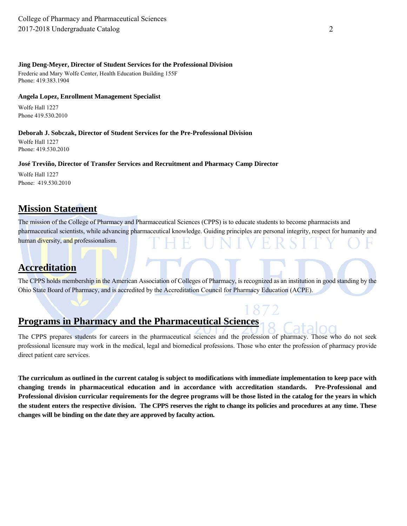#### **Jing Deng-Meyer, Director of Student Services for the Professional Division**

Frederic and Mary Wolfe Center, Health Education Building 155F Phone: 419.383.1904

#### **Angela Lopez, Enrollment Management Specialist**

Wolfe Hall 1227 Phone 419.530.2010

#### **Deborah J. Sobczak, Director of Student Services for the Pre-Professional Division**

Wolfe Hall 1227 Phone: 419.530.2010

#### **José Treviño, Director of Transfer Services and Recruitment and Pharmacy Camp Director**

Wolfe Hall 1227 Phone: 419.530.2010

## **Mission Statement**

The mission of the College of Pharmacy and Pharmaceutical Sciences (CPPS) is to educate students to become pharmacists and pharmaceutical scientists, while advancing pharmaceutical knowledge. Guiding principles are personal integrity, respect for humanity and human diversity, and professionalism.

## **Accreditation**

The CPPS holds membership in the American Association of Colleges of Pharmacy, is recognized as an institution in good standing by the Ohio State Board of Pharmacy, and is accredited by the Accreditation Council for Pharmacy Education (ACPE).

## **Programs in Pharmacy and the Pharmaceutical Sciences**

The CPPS prepares students for careers in the pharmaceutical sciences and the profession of pharmacy. Those who do not seek professional licensure may work in the medical, legal and biomedical professions. Those who enter the profession of pharmacy provide direct patient care services.

**The curriculum as outlined in the current catalog is subject to modifications with immediate implementation to keep pace with changing trends in pharmaceutical education and in accordance with accreditation standards. Pre-Professional and Professional division curricular requirements for the degree programs will be those listed in the catalog for the years in which the student enters the respective division. The CPPS reserves the right to change its policies and procedures at any time. These changes will be binding on the date they are approved by faculty action.**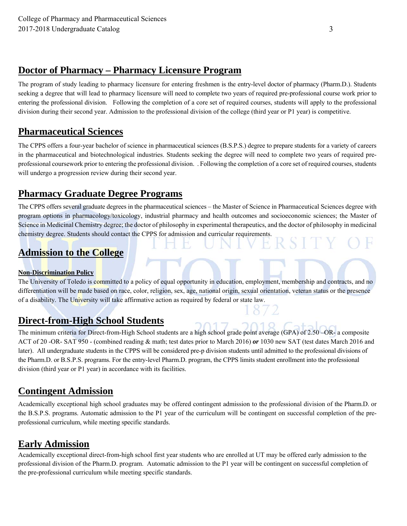## **Doctor of Pharmacy – Pharmacy Licensure Program**

The program of study leading to pharmacy licensure for entering freshmen is the entry-level doctor of pharmacy (Pharm.D.). Students seeking a degree that will lead to pharmacy licensure will need to complete two years of required pre-professional course work prior to entering the professional division. Following the completion of a core set of required courses, students will apply to the professional division during their second year. Admission to the professional division of the college (third year or P1 year) is competitive.

## **Pharmaceutical Sciences**

The CPPS offers a four-year bachelor of science in pharmaceutical sciences (B.S.P.S.) degree to prepare students for a variety of careers in the pharmaceutical and biotechnological industries. Students seeking the degree will need to complete two years of required preprofessional coursework prior to entering the professional division. . Following the completion of a core set of required courses, students will undergo a progression review during their second year.

## **Pharmacy Graduate Degree Programs**

The CPPS offers several graduate degrees in the pharmaceutical sciences – the Master of Science in Pharmaceutical Sciences degree with program options in pharmacology/toxicology, industrial pharmacy and health outcomes and socioeconomic sciences; the Master of Science in Medicinal Chemistry degree; the doctor of philosophy in experimental therapeutics, and the doctor of philosophy in medicinal chemistry degree. Students should contact the CPPS for admission and curricular requirements.

## **Admission to the College**

#### **Non-Discrimination Policy**

The University of Toledo is committed to a policy of equal opportunity in education, employment, membership and contracts, and no differentiation will be made based on race, color, religion, sex, age, national origin, sexual orientation, veteran status or the presence of a disability. The University will take affirmative action as required by federal or state law.

## **Direct-from-High School Students**

The minimum criteria for Direct-from-High School students are a high school grade point average (GPA) of 2.50 –OR- a composite ACT of 20 -OR- SAT 950 - (combined reading & math; test dates prior to March 2016) *or* 1030 new SAT (test dates March 2016 and later). All undergraduate students in the CPPS will be considered pre-p division students until admitted to the professional divisions of the Pharm.D. or B.S.P.S. programs. For the entry-level Pharm.D. program, the CPPS limits student enrollment into the professional division (third year or P1 year) in accordance with its facilities.

## **Contingent Admission**

Academically exceptional high school graduates may be offered contingent admission to the professional division of the Pharm.D. or the B.S.P.S. programs. Automatic admission to the P1 year of the curriculum will be contingent on successful completion of the preprofessional curriculum, while meeting specific standards.

## **Early Admission**

Academically exceptional direct-from-high school first year students who are enrolled at UT may be offered early admission to the professional division of the Pharm.D. program. Automatic admission to the P1 year will be contingent on successful completion of the pre-professional curriculum while meeting specific standards.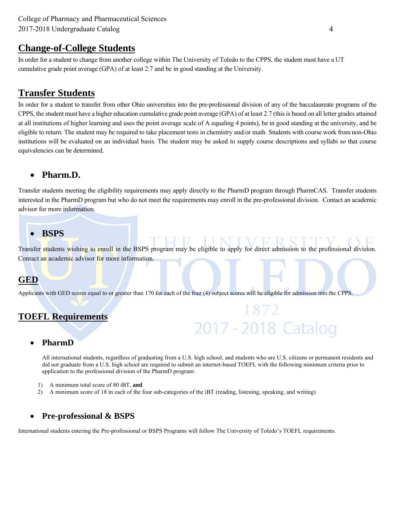### **Change-of-College Students**

In order for a student to change from another college within The University of Toledo to the CPPS, the student must have a UT cumulative grade point average (GPA) of at least 2.7 and be in good standing at the University.

## **Transfer Students**

In order for a student to transfer from other Ohio universities into the pre-professional division of any of the baccalaureate programs of the CPPS, the student must have a higher education cumulative grade point average (GPA) of at least 2.7 (this is based on all letter grades attained at all institutions of higher learning and uses the point average scale of A equaling 4 points), be in good standing at the university, and be eligible to return. The student may be required to take placement tests in chemistry and/or math. Students with course work from non-Ohio institutions will be evaluated on an individual basis. The student may be asked to supply course descriptions and syllabi so that course equivalencies can be determined.

### **Pharm.D.**

Transfer students meeting the eligibility requirements may apply directly to the PharmD program through PharmCAS. Transfer students interested in the PharmD program but who do not meet the requirements may enroll in the pre-professional division. Contact an academic advisor for more information.

### **BSPS**

Transfer students wishing to enroll in the BSPS program may be eligible to apply for direct admission to the professional division. Contact an academic advisor for more information.

### **GED**

Applicants with GED scores equal to or greater than 170 for each of the four (4) subject scores will be eligible for admission into the CPPS.

## **TOEFL Requirements**

#### **PharmD**

All international students, regardless of graduating from a U.S. high school, and students who are U.S. citizens or permanent residents and did not graduate from a U.S. high school are required to submit an internet-based TOEFL with the following minimum criteria prior to application to the professional division of the PharmD program:

2017 - 2018 Catalog

- 1) A minimum total score of 80 iBT, **and**
- 2) A minimum score of 18 in each of the four sub-categories of the iBT (reading, listening, speaking, and writing)

### **Pre-professional & BSPS**

International students entering the Pre-professional or BSPS Programs will follow The University of Toledo's TOEFL requirements.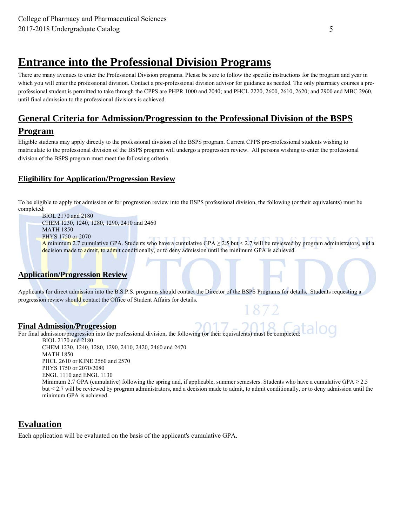## **Entrance into the Professional Division Programs**

There are many avenues to enter the Professional Division programs. Please be sure to follow the specific instructions for the program and year in which you will enter the professional division. Contact a pre-professional division advisor for guidance as needed. The only pharmacy courses a preprofessional student is permitted to take through the CPPS are PHPR 1000 and 2040; and PHCL 2220, 2600, 2610, 2620; and 2900 and MBC 2960, until final admission to the professional divisions is achieved.

### **General Criteria for Admission/Progression to the Professional Division of the BSPS**

### **Program**

Eligible students may apply directly to the professional division of the BSPS program. Current CPPS pre-professional students wishing to matriculate to the professional division of the BSPS program will undergo a progression review. All persons wishing to enter the professional division of the BSPS program must meet the following criteria.

### **Eligibility for Application/Progression Review**

To be eligible to apply for admission or for progression review into the BSPS professional division, the following (or their equivalents) must be completed:

BIOL 2170 and 2180 CHEM 1230, 1240, 1280, 1290, 2410 and 2460 MATH 1850 PHYS 1750 or 2070 A minimum 2.7 cumulative GPA. Students who have a cumulative GPA  $\geq$  2.5 but < 2.7 will be reviewed by program administrators, and a decision made to admit, to admit conditionally, or to deny admission until the minimum GPA is achieved.

#### **Application/Progression Review**

Applicants for direct admission into the B.S.P.S. programs should contact the Director of the BSPS Programs for details. Students requesting a progression review should contact the Office of Student Affairs for details.

#### **Final Admission/Progression**

For final admission/progression into the professional division, the following (or their equivalents) must be completed: BIOL 2170 and 2180 CHEM 1230, 1240, 1280, 1290, 2410, 2420, 2460 and 2470

MATH 1850 PHCL 2610 or KINE 2560 and 2570 PHYS 1750 or 2070/2080 ENGL 1110 and ENGL 1130 Minimum 2.7 GPA (cumulative) following the spring and, if applicable, summer semesters. Students who have a cumulative GPA  $\geq$  2.5 but < 2.7 will be reviewed by program administrators, and a decision made to admit, to admit conditionally, or to deny admission until the minimum GPA is achieved.

872

### **Evaluation**

Each application will be evaluated on the basis of the applicant's cumulative GPA.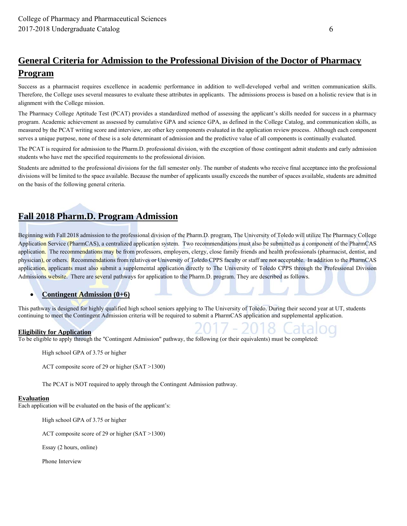## **General Criteria for Admission to the Professional Division of the Doctor of Pharmacy Program**

Success as a pharmacist requires excellence in academic performance in addition to well-developed verbal and written communication skills. Therefore, the College uses several measures to evaluate these attributes in applicants. The admissions process is based on a holistic review that is in alignment with the College mission.

The Pharmacy College Aptitude Test (PCAT) provides a standardized method of assessing the applicant's skills needed for success in a pharmacy program. Academic achievement as assessed by cumulative GPA and science GPA, as defined in the College Catalog, and communication skills, as measured by the PCAT writing score and interview, are other key components evaluated in the application review process. Although each component serves a unique purpose, none of these is a sole determinant of admission and the predictive value of all components is continually evaluated.

The PCAT is required for admission to the Pharm.D. professional division, with the exception of those contingent admit students and early admission students who have met the specified requirements to the professional division.

Students are admitted to the professional divisions for the fall semester only. The number of students who receive final acceptance into the professional divisions will be limited to the space available. Because the number of applicants usually exceeds the number of spaces available, students are admitted on the basis of the following general criteria.

## **Fall 2018 Pharm.D. Program Admission**

Beginning with Fall 2018 admission to the professional division of the Pharm.D. program, The University of Toledo will utilize The Pharmacy College Application Service (PharmCAS), a centralized application system. Two recommendations must also be submitted as a component of the PharmCAS application. The recommendations may be from professors, employers, clergy, close family friends and health professionals (pharmacist, dentist, and physician), or others. Recommendations from relatives or University of Toledo CPPS faculty or staff are not acceptable. In addition to the PharmCAS application, applicants must also submit a supplemental application directly to The University of Toledo CPPS through the Professional Division Admissions website. There are several pathways for application to the Pharm.D. program. They are described as follows.

#### **Contingent Admission (0+6)**

This pathway is designed for highly qualified high school seniors applying to The University of Toledo. During their second year at UT, students continuing to meet the Contingent Admission criteria will be required to submit a PharmCAS application and supplemental application.

#### **Eligibility for Application**

To be eligible to apply through the "Contingent Admission" pathway, the following (or their equivalents) must be completed:

High school GPA of 3.75 or higher

ACT composite score of 29 or higher (SAT >1300)

The PCAT is NOT required to apply through the Contingent Admission pathway.

#### **Evaluation**

Each application will be evaluated on the basis of the applicant's:

High school GPA of 3.75 or higher

ACT composite score of 29 or higher (SAT >1300)

Essay (2 hours, online)

Phone Interview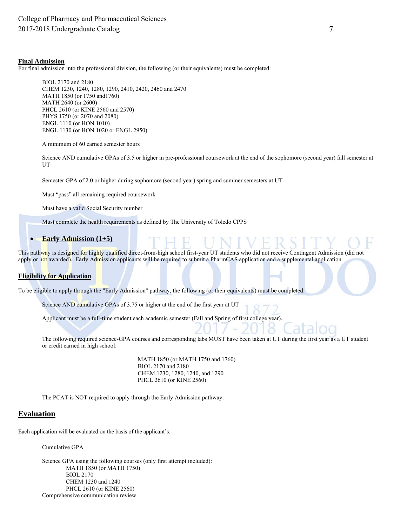#### **Final Admission**

For final admission into the professional division, the following (or their equivalents) must be completed:

BIOL 2170 and 2180 CHEM 1230, 1240, 1280, 1290, 2410, 2420, 2460 and 2470 MATH 1850 (or 1750 and1760) MATH 2640 (or 2600) PHCL 2610 (or KINE 2560 and 2570) PHYS 1750 (or 2070 and 2080) ENGL 1110 (or HON 1010) ENGL 1130 (or HON 1020 or ENGL 2950)

A minimum of 60 earned semester hours

Science AND cumulative GPAs of 3.5 or higher in pre-professional coursework at the end of the sophomore (second year) fall semester at UT

Semester GPA of 2.0 or higher during sophomore (second year) spring and summer semesters at UT

Must "pass" all remaining required coursework

Must have a valid Social Security number

Must complete the health requirements as defined by The University of Toledo CPPS

#### **Early Admission (1+5)**

This pathway is designed for highly qualified direct-from-high school first-year UT students who did not receive Contingent Admission (did not apply or not awarded). Early Admission applicants will be required to submit a PharmCAS application and a supplemental application.

#### **Eligibility for Application**

To be eligible to apply through the "Early Admission" pathway, the following (or their equivalents) must be completed:

Science AND cumulative GPAs of 3.75 or higher at the end of the first year at UT

Applicant must be a full-time student each academic semester (Fall and Spring of first college year).

The following required science-GPA courses and corresponding labs MUST have been taken at UT during the first year as a UT student or credit earned in high school:

> MATH 1850 (or MATH 1750 and 1760) BIOL 2170 and 2180 CHEM 1230, 1280, 1240, and 1290 PHCL 2610 (or KINE 2560)

The PCAT is NOT required to apply through the Early Admission pathway.

#### **Evaluation**

Each application will be evaluated on the basis of the applicant's:

Cumulative GPA

Science GPA using the following courses (only first attempt included): MATH 1850 (or MATH 1750) BIOL 2170 CHEM 1230 and 1240 PHCL 2610 (or KINE 2560) Comprehensive communication review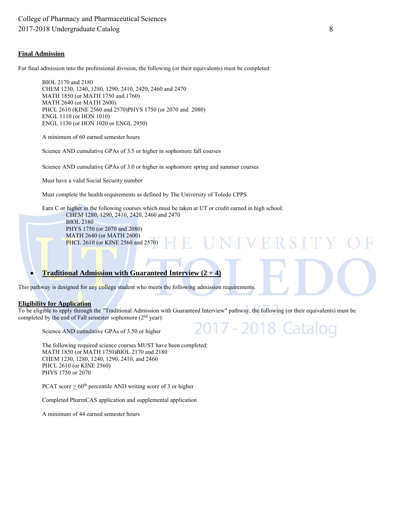#### **Final Admission**

For final admission into the professional division, the following (or their equivalents) must be completed:

BIOL 2170 and 2180 CHEM 1230, 1240, 1280, 1290, 2410, 2420, 2460 and 2470 MATH 1850 (or MATH 1750 and 1760) MATH 2640 (or MATH 2600) PHCL 2610 (KINE 2560 and 2570)PHYS 1750 (or 2070 and 2080) ENGL 1110 (or HON 1010) ENGL 1130 (or HON 1020 or ENGL 2950)

A minimum of 60 earned semester hours

Science AND cumulative GPAs of 3.5 or higher in sophomore fall courses

Science AND cumulative GPAs of 3.0 or higher in sophomore spring and summer courses

Must have a valid Social Security number

Must complete the health requirements as defined by The University of Toledo CPPS

Earn C or higher in the following courses which must be taken at UT or credit earned in high school: CHEM 1280, 1290, 2410, 2420, 2460 and 2470

BIOL 2180 PHYS 1750 (or 2070 and 2080) MATH 2640 (or MATH 2600) PHCL 2610 (or KINE 2560 and 2570)

#### **• Traditional Admission with Guaranteed Interview (2+4)**

This pathway is designed for any college student who meets the following admission requirements.

#### **Eligibility for Application**

To be eligible to apply through the "Traditional Admission with Guaranteed Interview" pathway, the following (or their equivalents) must be completed by the end of Fall semester sophomore (2<sup>nd</sup> year):

 $17 -$ 

 $\mathcal{L}$ 

18

Ħ

Latalog

Science AND cumulative GPAs of 3.50 or higher

The following required science courses MUST have been completed: MATH 1850 (or MATH 1750)BIOL 2170 and 2180 CHEM 1230, 1280, 1240, 1290, 2410, and 2460 PHCL 2610 (or KINE 2560) PHYS 1750 or 2070

PCAT score  $\geq 60^{\text{th}}$  percentile AND writing score of 3 or higher

Completed PharmCAS application and supplemental application

A minimum of 44 earned semester hours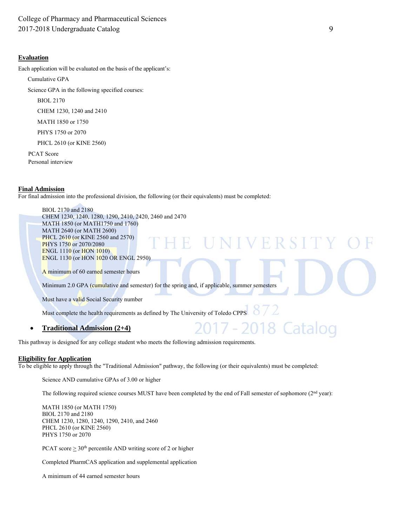#### **Evaluation**

Each application will be evaluated on the basis of the applicant's:

Cumulative GPA

Science GPA in the following specified courses:

BIOL 2170

CHEM 1230, 1240 and 2410

MATH 1850 or 1750

PHYS 1750 or 2070

PHCL 2610 (or KINE 2560)

 PCAT Score Personal interview

#### **Final Admission**

For final admission into the professional division, the following (or their equivalents) must be completed:

BIOL 2170 and 2180 CHEM 1230, 1240, 1280, 1290, 2410, 2420, 2460 and 2470 MATH 1850 (or MATH1750 and 1760) MATH 2640 (or MATH 2600) PHCL 2610 (or KINE 2560 and 2570) H H PHYS 1750 or 2070/2080 ENGL 1110 (or HON 1010) ENGL 1130 (or HON 1020 OR ENGL 2950) A minimum of 60 earned semester hours Minimum 2.0 GPA (cumulative and semester) for the spring and, if applicable, summer semesters Must have a valid Social Security number

Must complete the health requirements as defined by The University of Toledo CPPS

#### **Traditional Admission (2+4)**

This pathway is designed for any college student who meets the following admission requirements.

#### **Eligibility for Application**

To be eligible to apply through the "Traditional Admission" pathway, the following (or their equivalents) must be completed:

Science AND cumulative GPAs of 3.00 or higher

The following required science courses MUST have been completed by the end of Fall semester of sophomore (2<sup>nd</sup> year):

MATH 1850 (or MATH 1750) BIOL 2170 and 2180 CHEM 1230, 1280, 1240, 1290, 2410, and 2460 PHCL 2610 (or KINE 2560) PHYS 1750 or 2070

PCAT score  $\geq 30^{\text{th}}$  percentile AND writing score of 2 or higher

Completed PharmCAS application and supplemental application

A minimum of 44 earned semester hours

18 Catalog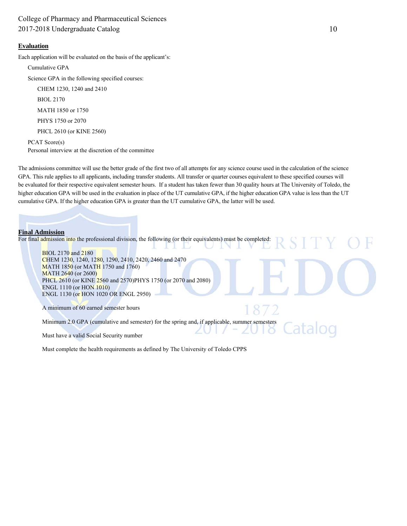#### **Evaluation**

Each application will be evaluated on the basis of the applicant's:

Cumulative GPA

Science GPA in the following specified courses:

 CHEM 1230, 1240 and 2410 BIOL 2170 MATH 1850 or 1750

PHYS 1750 or 2070

PHCL 2610 (or KINE 2560)

PCAT Score(s) Personal interview at the discretion of the committee

The admissions committee will use the better grade of the first two of all attempts for any science course used in the calculation of the science GPA. This rule applies to all applicants, including transfer students. All transfer or quarter courses equivalent to these specified courses will be evaluated for their respective equivalent semester hours. If a student has taken fewer than 30 quality hours at The University of Toledo, the higher education GPA will be used in the evaluation in place of the UT cumulative GPA, if the higher education GPA value is less than the UT cumulative GPA. If the higher education GPA is greater than the UT cumulative GPA, the latter will be used.

#### **Final Admission**

For final admission into the professional division, the following (or their equivalents) must be completed:



Must have a valid Social Security number

Must complete the health requirements as defined by The University of Toledo CPPS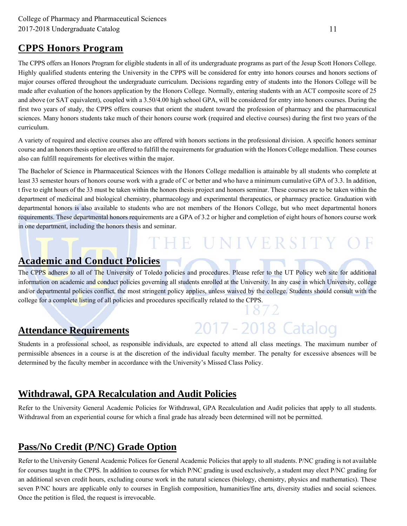## **CPPS Honors Program**

The CPPS offers an Honors Program for eligible students in all of its undergraduate programs as part of the Jesup Scott Honors College. Highly qualified students entering the University in the CPPS will be considered for entry into honors courses and honors sections of major courses offered throughout the undergraduate curriculum. Decisions regarding entry of students into the Honors College will be made after evaluation of the honors application by the Honors College. Normally, entering students with an ACT composite score of 25 and above (or SAT equivalent), coupled with a 3.50/4.00 high school GPA, will be considered for entry into honors courses. During the first two years of study, the CPPS offers courses that orient the student toward the profession of pharmacy and the pharmaceutical sciences. Many honors students take much of their honors course work (required and elective courses) during the first two years of the curriculum.

A variety of required and elective courses also are offered with honors sections in the professional division. A specific honors seminar course and an honors thesis option are offered to fulfill the requirements for graduation with the Honors College medallion. These courses also can fulfill requirements for electives within the major.

The Bachelor of Science in Pharmaceutical Sciences with the Honors College medallion is attainable by all students who complete at least 33 semester hours of honors course work with a grade of C or better and who have a minimum cumulative GPA of 3.3. In addition, t five to eight hours of the 33 must be taken within the honors thesis project and honors seminar. These courses are to be taken within the department of medicinal and biological chemistry, pharmacology and experimental therapeutics, or pharmacy practice. Graduation with departmental honors is also available to students who are not members of the Honors College, but who meet departmental honors requirements. These departmental honors requirements are a GPA of 3.2 or higher and completion of eight hours of honors course work in one department, including the honors thesis and seminar.

# THE UNIVERSITY OF

2017 - 2018 Catalog

## **Academic and Conduct Policies**

The CPPS adheres to all of The University of Toledo policies and procedures. Please refer to the UT Policy web site for additional information on academic and conduct policies governing all students enrolled at the University. In any case in which University, college and/or departmental policies conflict, the most stringent policy applies, unless waived by the college. Students should consult with the college for a complete listing of all policies and procedures specifically related to the CPPS. 872

### **Attendance Requirements**

Students in a professional school, as responsible individuals, are expected to attend all class meetings. The maximum number of permissible absences in a course is at the discretion of the individual faculty member. The penalty for excessive absences will be determined by the faculty member in accordance with the University's Missed Class Policy.

## **Withdrawal, GPA Recalculation and Audit Policies**

Refer to the University General Academic Policies for Withdrawal, GPA Recalculation and Audit policies that apply to all students. Withdrawal from an experiential course for which a final grade has already been determined will not be permitted.

## **Pass/No Credit (P/NC) Grade Option**

Refer to the University General Academic Polices for General Academic Policies that apply to all students. P/NC grading is not available for courses taught in the CPPS. In addition to courses for which P/NC grading is used exclusively, a student may elect P/NC grading for an additional seven credit hours, excluding course work in the natural sciences (biology, chemistry, physics and mathematics). These seven P/NC hours are applicable only to courses in English composition, humanities/fine arts, diversity studies and social sciences. Once the petition is filed, the request is irrevocable.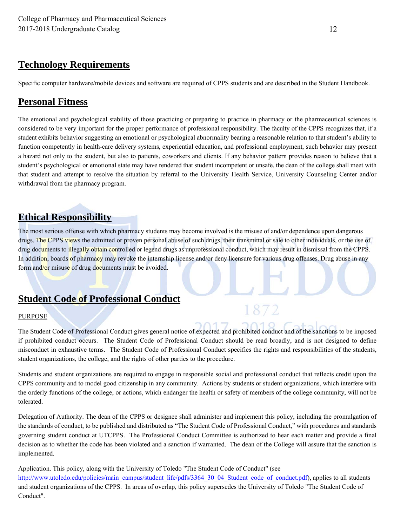## **Technology Requirements**

Specific computer hardware/mobile devices and software are required of CPPS students and are described in the Student Handbook.

## **Personal Fitness**

The emotional and psychological stability of those practicing or preparing to practice in pharmacy or the pharmaceutical sciences is considered to be very important for the proper performance of professional responsibility. The faculty of the CPPS recognizes that, if a student exhibits behavior suggesting an emotional or psychological abnormality bearing a reasonable relation to that student's ability to function competently in health-care delivery systems, experiential education, and professional employment, such behavior may present a hazard not only to the student, but also to patients, coworkers and clients. If any behavior pattern provides reason to believe that a student's psychological or emotional state may have rendered that student incompetent or unsafe, the dean of the college shall meet with that student and attempt to resolve the situation by referral to the University Health Service, University Counseling Center and/or withdrawal from the pharmacy program.

## **Ethical Responsibility**

The most serious offense with which pharmacy students may become involved is the misuse of and/or dependence upon dangerous drugs. The CPPS views the admitted or proven personal abuse of such drugs, their transmittal or sale to other individuals, or the use of drug documents to illegally obtain controlled or legend drugs as unprofessional conduct, which may result in dismissal from the CPPS. In addition, boards of pharmacy may revoke the internship license and/or deny licensure for various drug offenses. Drug abuse in any form and/or misuse of drug documents must be avoided.

## **Student Code of Professional Conduct**

#### PURPOSE

The Student Code of Professional Conduct gives general notice of expected and prohibited conduct and of the sanctions to be imposed if prohibited conduct occurs. The Student Code of Professional Conduct should be read broadly, and is not designed to define misconduct in exhaustive terms. The Student Code of Professional Conduct specifies the rights and responsibilities of the students, student organizations, the college, and the rights of other parties to the procedure.

1872

Students and student organizations are required to engage in responsible social and professional conduct that reflects credit upon the CPPS community and to model good citizenship in any community. Actions by students or student organizations, which interfere with the orderly functions of the college, or actions, which endanger the health or safety of members of the college community, will not be tolerated.

Delegation of Authority. The dean of the CPPS or designee shall administer and implement this policy, including the promulgation of the standards of conduct, to be published and distributed as "The Student Code of Professional Conduct," with procedures and standards governing student conduct at UTCPPS. The Professional Conduct Committee is authorized to hear each matter and provide a final decision as to whether the code has been violated and a sanction if warranted. The dean of the College will assure that the sanction is implemented.

Application. This policy, along with the University of Toledo "The Student Code of Conduct" (see http://www.utoledo.edu/policies/main\_campus/student\_life/pdfs/3364\_30\_04\_Student\_code\_of\_conduct.pdf), applies to all students and student organizations of the CPPS. In areas of overlap, this policy supersedes the University of Toledo "The Student Code of Conduct".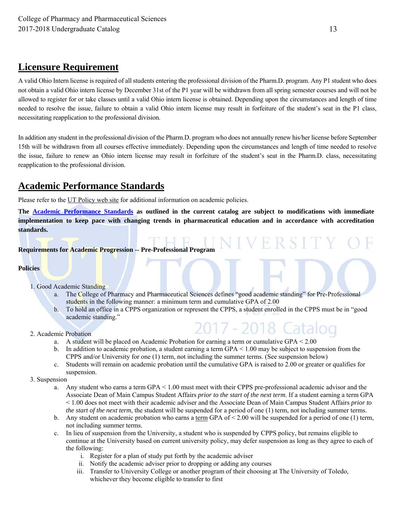## **Licensure Requirement**

A valid Ohio Intern license is required of all students entering the professional division of the Pharm.D. program. Any P1 student who does not obtain a valid Ohio intern license by December 31st of the P1 year will be withdrawn from all spring semester courses and will not be allowed to register for or take classes until a valid Ohio intern license is obtained. Depending upon the circumstances and length of time needed to resolve the issue, failure to obtain a valid Ohio intern license may result in forfeiture of the student's seat in the P1 class, necessitating reapplication to the professional division.

In addition any student in the professional division of the Pharm.D. program who does not annually renew his/her license before September 15th will be withdrawn from all courses effective immediately. Depending upon the circumstances and length of time needed to resolve the issue, failure to renew an Ohio intern license may result in forfeiture of the student's seat in the Pharm.D. class, necessitating reapplication to the professional division.

## **Academic Performance Standards**

Please refer to the UT Policy web site for additional information on academic policies.

**The Academic Performance Standards as outlined in the current catalog are subject to modifications with immediate implementation to keep pace with changing trends in pharmaceutical education and in accordance with accreditation standards.**

#### **Requirements for Academic Progression -- Pre-Professional Program**

#### **Policies**

- 1. Good Academic Standing
	- a. The College of Pharmacy and Pharmaceutical Sciences defines "good academic standing" for Pre-Professional students in the following manner: a minimum term and cumulative GPA of 2.00
	- b. To hold an office in a CPPS organization or represent the CPPS, a student enrolled in the CPPS must be in "good academic standing."

2017 - 20

- 2. Academic Probation
	- a. A student will be placed on Academic Probation for earning a term or cumulative GPA < 2.00
	- b. In addition to academic probation, a student earning a term  $GPA < 1.00$  may be subject to suspension from the CPPS and/or University for one (1) term, not including the summer terms. (See suspension below)
	- c. Students will remain on academic probation until the cumulative GPA is raised to 2.00 or greater or qualifies for suspension.
- 3. Suspension
	- a. Any student who earns a term GPA < 1.00 must meet with their CPPS pre-professional academic advisor and the Associate Dean of Main Campus Student Affairs *prior to the start of the next term*. If a student earning a term GPA < 1.00 does not meet with their academic adviser and the Associate Dean of Main Campus Student Affairs *prior to the start of the next term*, the student will be suspended for a period of one (1) term, not including summer terms.
	- b. Any student on academic probation who earns a term GPA of  $\leq$  2.00 will be suspended for a period of one (1) term, not including summer terms.
	- c. In lieu of suspension from the University, a student who is suspended by CPPS policy, but remains eligible to continue at the University based on current university policy, may defer suspension as long as they agree to each of the following:
		- i. Register for a plan of study put forth by the academic adviser
		- ii. Notify the academic adviser prior to dropping or adding any courses
		- iii. Transfer to University College or another program of their choosing at The University of Toledo, whichever they become eligible to transfer to first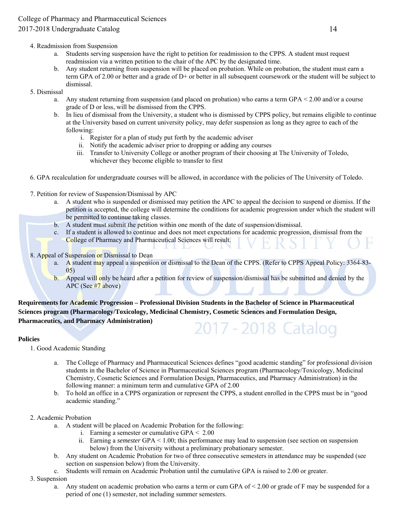#### 4. Readmission from Suspension

- a. Students serving suspension have the right to petition for readmission to the CPPS. A student must request readmission via a written petition to the chair of the APC by the designated time.
- b. Any student returning from suspension will be placed on probation. While on probation, the student must earn a term GPA of 2.00 or better and a grade of D+ or better in all subsequent coursework or the student will be subject to dismissal.

#### 5. Dismissal

- a. Any student returning from suspension (and placed on probation) who earns a term GPA < 2.00 and/or a course grade of D or less, will be dismissed from the CPPS.
- b. In lieu of dismissal from the University, a student who is dismissed by CPPS policy, but remains eligible to continue at the University based on current university policy, may defer suspension as long as they agree to each of the following:
	- i. Register for a plan of study put forth by the academic adviser
	- ii. Notify the academic adviser prior to dropping or adding any courses
	- iii. Transfer to University College or another program of their choosing at The University of Toledo, whichever they become eligible to transfer to first
- 6. GPA recalculation for undergraduate courses will be allowed, in accordance with the policies of The University of Toledo.
- 7. Petition for review of Suspension/Dismissal by APC
	- a. A student who is suspended or dismissed may petition the APC to appeal the decision to suspend or dismiss. If the petition is accepted, the college will determine the conditions for academic progression under which the student will be permitted to continue taking classes.
	- b. A student must submit the petition within one month of the date of suspension/dismissal.
	- c. If a student is allowed to continue and does not meet expectations for academic progression, dismissal from the College of Pharmacy and Pharmaceutical Sciences will result.

8. Appeal of Suspension or Dismissal to Dean

- a. A student may appeal a suspension or dismissal to the Dean of the CPPS. (Refer to CPPS Appeal Policy: 3364-83-05)
- b. Appeal will only be heard after a petition for review of suspension/dismissal has be submitted and denied by the APC (See #7 above)

**Requirements for Academic Progression – Professional Division Students in the Bachelor of Science in Pharmaceutical Sciences program (Pharmacology/Toxicology, Medicinal Chemistry, Cosmetic Sciences and Formulation Design, Pharmaceutics, and Pharmacy Administration)** 2017 - 2018 Catalog

#### **Policies**

1. Good Academic Standing

- a. The College of Pharmacy and Pharmaceutical Sciences defines "good academic standing" for professional division students in the Bachelor of Science in Pharmaceutical Sciences program (Pharmacology/Toxicology, Medicinal Chemistry, Cosmetic Sciences and Formulation Design, Pharmaceutics, and Pharmacy Administration) in the following manner: a minimum term and cumulative GPA of 2.00
- b. To hold an office in a CPPS organization or represent the CPPS, a student enrolled in the CPPS must be in "good academic standing."

#### 2. Academic Probation

- a. A student will be placed on Academic Probation for the following:
	- i. Earning a semester or cumulative GPA < 2.00
	- ii. Earning a *semester* GPA < 1.00; this performance may lead to suspension (see section on suspension below) from the University without a preliminary probationary semester.
- b. Any student on Academic Probation for two of three consecutive semesters in attendance may be suspended (see section on suspension below) from the University.
- c. Students will remain on Academic Probation until the cumulative GPA is raised to 2.00 or greater.

#### 3. Suspension

a. Any student on academic probation who earns a term or cum GPA of  $< 2.00$  or grade of F may be suspended for a period of one (1) semester, not including summer semesters.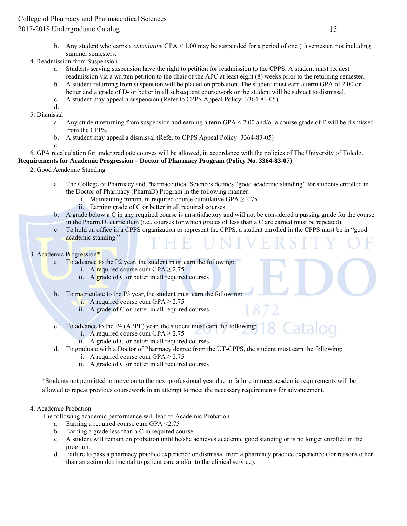b. Any student who earns a *cumulative* GPA < 1.00 may be suspended for a period of one (1) semester, not including summer semesters.

#### 4. Readmission from Suspension

- a. Students serving suspension have the right to petition for readmission to the CPPS. A student must request readmission via a written petition to the chair of the APC at least eight (8) weeks prior to the returning semester.
- b. A student returning from suspension will be placed on probation. The student must earn a term GPA of 2.00 or better and a grade of D- or better in all subsequent coursework or the student will be subject to dismissal.
- c. A student may appeal a suspension (Refer to CPPS Appeal Policy: 3364-83-05)
- d.
- 5. Dismissal
	- a. Any student returning from suspension and earning a term GPA < 2.00 and/or a course grade of F will be dismissed from the CPPS.
	- b. A student may appeal a dismissal (Refer to CPPS Appeal Policy: 3364-83-05)
	- c.

#### 6. GPA recalculation for undergraduate courses will be allowed, in accordance with the policies of The University of Toledo.

#### **Requirements for Academic Progression – Doctor of Pharmacy Program (Policy No. 3364-83-07)**

- 2. Good Academic Standing
	- a. The College of Pharmacy and Pharmaceutical Sciences defines "good academic standing" for students enrolled in the Doctor of Pharmacy (PharmD) Program in the following manner:
		- i. Maintaining minimum required course cumulative  $GPA \ge 2.75$
		- ii. Earning grade of C or better in all required courses
	- b. A grade below a C in any required course is unsatisfactory and will not be considered a passing grade for the course in the Pharm.D. curriculum (i.e., courses for which grades of less than a C are earned must be repeated).
	- c. To hold an office in a CPPS organization or represent the CPPS, a student enrolled in the CPPS must be in "good academic standing."

#### 3. Academic Progression\*

a. To advance to the P2 year, the student must earn the following:

- i. A required course cum  $GPA \ge 2.75$
- ii. A grade of  $C$  or better in all required courses
- b. To matriculate to the P3 year, the student must earn the following:
	- i. A required course cum GPA  $\geq$  2.75
	- ii. A grade of C or better in all required courses
- c. To advance to the P4 (APPE) year, the student must earn the following:
	- i. A required course cum  $GPA \ge 2.75$
	- ii. A grade of C or better in all required courses
- d. To graduate with a Doctor of Pharmacy degree from the UT-CPPS, the student must earn the following:
	- i. A required course cum  $GPA \ge 2.75$
	- ii. A grade of C or better in all required courses

\*Students not permitted to move on to the next professional year due to failure to meet academic requirements will be allowed to repeat previous coursework in an attempt to meet the necessary requirements for advancement.

#### 4. Academic Probation

The following academic performance will lead to Academic Probation

- a. Earning a required course cum GPA <2.75
- b. Earning a grade less than a C in required course.
- c. A student will remain on probation until he/she achieves academic good standing or is no longer enrolled in the program.
- d. Failure to pass a pharmacy practice experience or dismissal from a pharmacy practice experience (for reasons other than an action detrimental to patient care and/or to the clinical service).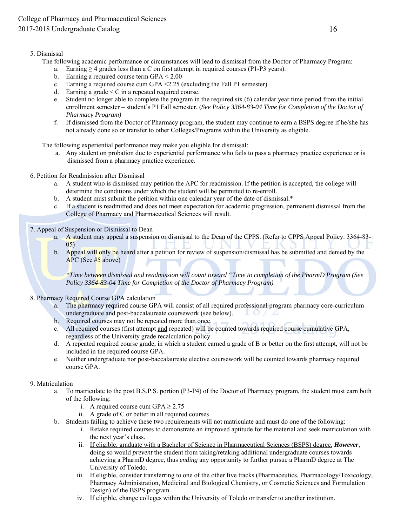#### 5. Dismissal

- The following academic performance or circumstances will lead to dismissal from the Doctor of Pharmacy Program:
	- a. Earning  $\geq 4$  grades less than a C on first attempt in required courses (P1-P3 years).
	- b. Earning a required course term GPA < 2.00
	- c. Earning a required course cum GPA <2.25 (excluding the Fall P1 semester)
	- d. Earning a grade  $\leq C$  in a repeated required course.
	- e. Student no longer able to complete the program in the required six (6) calendar year time period from the initial enrollment semester – student's P1 Fall semester. (*See Policy 3364-83-04 Time for Completion of the Doctor of Pharmacy Program)*
	- f. If dismissed from the Doctor of Pharmacy program, the student may continue to earn a BSPS degree if he/she has not already done so or transfer to other Colleges/Programs within the University as eligible.

The following experiential performance may make you eligible for dismissal:

- a. Any student on probation due to experiential performance who fails to pass a pharmacy practice experience or is dismissed from a pharmacy practice experience.
- 6. Petition for Readmission after Dismissal
	- a. A student who is dismissed may petition the APC for readmission. If the petition is accepted, the college will determine the conditions under which the student will be permitted to re-enroll.
	- b. A student must submit the petition within one calendar year of the date of dismissal.\*
	- c. If a student is readmitted and does not meet expectation for academic progression, permanent dismissal from the College of Pharmacy and Pharmaceutical Sciences will result.

7. Appeal of Suspension or Dismissal to Dean

- a. A student may appeal a suspension or dismissal to the Dean of the CPPS. (Refer to CPPS Appeal Policy: 3364-83- 05)
- b. Appeal will only be heard after a petition for review of suspension/dismissal has be submitted and denied by the APC (See #5 above)

*\*Time between dismissal and readmission will count toward "Time to completion of the PharmD Program (See Policy 3364-83-04 Time for Completion of the Doctor of Pharmacy Program)* 

#### 8. Pharmacy Required Course GPA calculation

- a. The pharmacy required course GPA will consist of all required professional program pharmacy core-curriculum undergraduate and post-baccalaureate coursework (see below).
- b. Required courses may not be repeated more than once.
- c. All required courses (first attempt and repeated) will be counted towards required course cumulative GPA, regardless of the University grade recalculation policy.
- d. A repeated required course grade, in which a student earned a grade of B or better on the first attempt, will not be included in the required course GPA.
- e. Neither undergraduate nor post-baccalaureate elective coursework will be counted towards pharmacy required course GPA.

#### 9. Matriculation

- a. To matriculate to the post B.S.P.S. portion (P3-P4) of the Doctor of Pharmacy program, the student must earn both of the following:
	- i. A required course cum GPA  $\geq$  2.75
	- ii. A grade of C or better in all required courses
- b. Students failing to achieve these two requirements will not matriculate and must do one of the following:
	- i. Retake required courses to demonstrate an improved aptitude for the material and seek matriculation with the next year's class.
	- ii. If eligible, graduate with a Bachelor of Science in Pharmaceutical Sciences (BSPS) degree. *However*, doing so would *prevent* the student from taking/retaking additional undergraduate courses towards achieving a PharmD degree, thus *ending* any opportunity to further pursue a PharmD degree at The University of Toledo.
	- iii. If eligible, consider transferring to one of the other five tracks (Pharmaceutics, Pharmacology/Toxicology, Pharmacy Administration, Medicinal and Biological Chemistry, or Cosmetic Sciences and Formulation Design) of the BSPS program.
	- iv. If eligible, change colleges within the University of Toledo or transfer to another institution.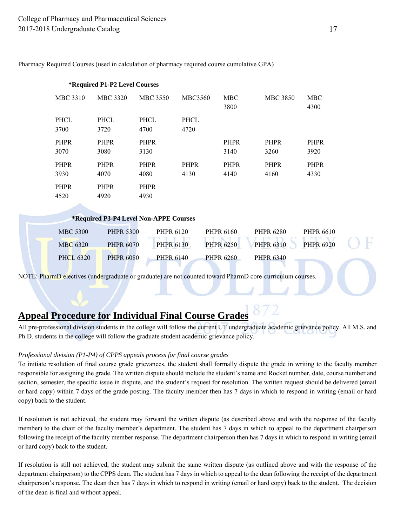Pharmacy Required Courses (used in calculation of pharmacy required course cumulative GPA)

|                 | *Required P1-P2 Level Courses |                                        |                |                    |                 |                    |
|-----------------|-------------------------------|----------------------------------------|----------------|--------------------|-----------------|--------------------|
| <b>MBC 3310</b> | <b>MBC 3320</b>               | <b>MBC 3550</b>                        | <b>MBC3560</b> | <b>MBC</b><br>3800 | <b>MBC 3850</b> | <b>MBC</b><br>4300 |
| PHCL            | PHCL                          | <b>PHCL</b>                            | PHCL           |                    |                 |                    |
| 3700            | 3720                          | 4700                                   | 4720           |                    |                 |                    |
| <b>PHPR</b>     | <b>PHPR</b>                   | <b>PHPR</b>                            |                | <b>PHPR</b>        | <b>PHPR</b>     | <b>PHPR</b>        |
| 3070            | 3080                          | 3130                                   |                | 3140               | 3260            | 3920               |
| <b>PHPR</b>     | <b>PHPR</b>                   | <b>PHPR</b>                            | <b>PHPR</b>    | <b>PHPR</b>        | <b>PHPR</b>     | PHPR               |
| 3930            | 4070                          | 4080                                   | 4130           | 4140               | 4160            | 4330               |
| <b>PHPR</b>     | <b>PHPR</b>                   | <b>PHPR</b>                            |                |                    |                 |                    |
| 4520            | 4920                          | 4930                                   |                |                    |                 |                    |
|                 |                               |                                        |                |                    |                 |                    |
|                 |                               | *Required P3-P4 Level Non-APPE Courses |                |                    |                 |                    |
|                 |                               |                                        |                |                    |                 |                    |

| <b>MBC 5300</b> | <b>PHPR 5300</b> | <b>PHPR 6120</b> | PHPR 6160        | <b>PHPR 6280</b> | PHPR 6610        |  |
|-----------------|------------------|------------------|------------------|------------------|------------------|--|
| MBC 6320        | <b>PHPR 6070</b> | PHPR 6130        | <b>PHPR 6250</b> | <b>PHPR 6310</b> | <b>PHPR 6920</b> |  |
| PHCL 6320       | <b>PHPR 6080</b> | <b>PHPR 6140</b> | <b>PHPR 6260</b> | <b>PHPR 6340</b> |                  |  |

NOTE: PharmD electives (undergraduate or graduate) are not counted toward PharmD core-curriculum courses.

## **Appeal Procedure for Individual Final Course Grades**

All pre-professional division students in the college will follow the current UT undergraduate academic grievance policy. All M.S. and Ph.D. students in the college will follow the graduate student academic grievance policy.

#### *Professional division (P1-P4) of CPPS appeals process for final course grades*

To initiate resolution of final course grade grievances, the student shall formally dispute the grade in writing to the faculty member responsible for assigning the grade. The written dispute should include the student's name and Rocket number, date, course number and section, semester, the specific issue in dispute, and the student's request for resolution. The written request should be delivered (email or hard copy) within 7 days of the grade posting. The faculty member then has 7 days in which to respond in writing (email or hard copy) back to the student.

If resolution is not achieved, the student may forward the written dispute (as described above and with the response of the faculty member) to the chair of the faculty member's department. The student has 7 days in which to appeal to the department chairperson following the receipt of the faculty member response. The department chairperson then has 7 days in which to respond in writing (email or hard copy) back to the student.

If resolution is still not achieved, the student may submit the same written dispute (as outlined above and with the response of the department chairperson) to the CPPS dean. The student has 7 days in which to appeal to the dean following the receipt of the department chairperson's response. The dean then has 7 days in which to respond in writing (email or hard copy) back to the student. The decision of the dean is final and without appeal.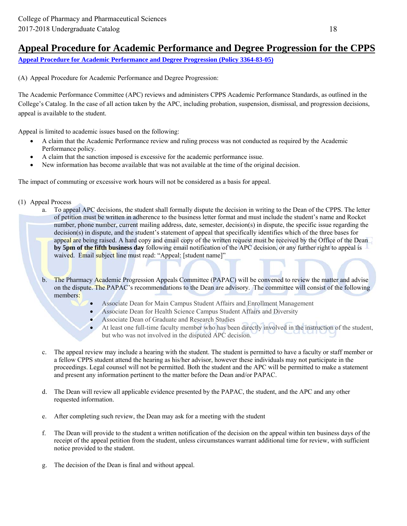## **Appeal Procedure for Academic Performance and Degree Progression for the CPPS**

**Appeal Procedure for Academic Performance and Degree Progression (Policy 3364-83-05)**

(A) Appeal Procedure for Academic Performance and Degree Progression:

The Academic Performance Committee (APC) reviews and administers CPPS Academic Performance Standards, as outlined in the College's Catalog. In the case of all action taken by the APC, including probation, suspension, dismissal, and progression decisions, appeal is available to the student.

Appeal is limited to academic issues based on the following:

- A claim that the Academic Performance review and ruling process was not conducted as required by the Academic Performance policy.
- A claim that the sanction imposed is excessive for the academic performance issue.
- New information has become available that was not available at the time of the original decision.

The impact of commuting or excessive work hours will not be considered as a basis for appeal.

- (1) Appeal Process
	- a. To appeal APC decisions, the student shall formally dispute the decision in writing to the Dean of the CPPS. The letter of petition must be written in adherence to the business letter format and must include the student's name and Rocket number, phone number, current mailing address, date, semester, decision(s) in dispute, the specific issue regarding the decision(s) in dispute, and the student's statement of appeal that specifically identifies which of the three bases for appeal are being raised. A hard copy and email copy of the written request must be received by the Office of the Dean **by 5pm of the fifth business day** following email notification of the APC decision, or any further right to appeal is waived. Email subject line must read: "Appeal: [student name]"
	- b. The Pharmacy Academic Progression Appeals Committee (PAPAC) will be convened to review the matter and advise on the dispute. The PAPAC's recommendations to the Dean are advisory. The committee will consist of the following members:
		- Associate Dean for Main Campus Student Affairs and Enrollment Management
		- Associate Dean for Health Science Campus Student Affairs and Diversity
		- Associate Dean of Graduate and Research Studies
		- At least one full-time faculty member who has been directly involved in the instruction of the student, but who was not involved in the disputed APC decision.
	- c. The appeal review may include a hearing with the student. The student is permitted to have a faculty or staff member or a fellow CPPS student attend the hearing as his/her advisor, however these individuals may not participate in the proceedings. Legal counsel will not be permitted. Both the student and the APC will be permitted to make a statement and present any information pertinent to the matter before the Dean and/or PAPAC.
	- d. The Dean will review all applicable evidence presented by the PAPAC, the student, and the APC and any other requested information.
	- e. After completing such review, the Dean may ask for a meeting with the student
	- f. The Dean will provide to the student a written notification of the decision on the appeal within ten business days of the receipt of the appeal petition from the student, unless circumstances warrant additional time for review, with sufficient notice provided to the student.
	- g. The decision of the Dean is final and without appeal.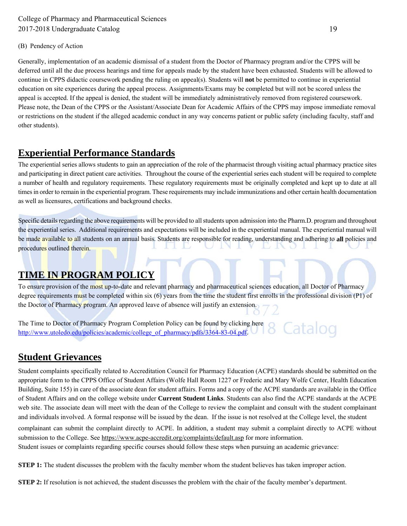### (B) Pendency of Action

Generally, implementation of an academic dismissal of a student from the Doctor of Pharmacy program and/or the CPPS will be deferred until all the due process hearings and time for appeals made by the student have been exhausted. Students will be allowed to continue in CPPS didactic coursework pending the ruling on appeal(s). Students will **not** be permitted to continue in experiential education on site experiences during the appeal process. Assignments/Exams may be completed but will not be scored unless the appeal is accepted. If the appeal is denied, the student will be immediately administratively removed from registered coursework. Please note, the Dean of the CPPS or the Assistant/Associate Dean for Academic Affairs of the CPPS may impose immediate removal or restrictions on the student if the alleged academic conduct in any way concerns patient or public safety (including faculty, staff and other students).

## **Experiential Performance Standards**

The experiential series allows students to gain an appreciation of the role of the pharmacist through visiting actual pharmacy practice sites and participating in direct patient care activities. Throughout the course of the experiential series each student will be required to complete a number of health and regulatory requirements. These regulatory requirements must be originally completed and kept up to date at all times in order to remain in the experiential program. These requirements may include immunizations and other certain health documentation as well as licensures, certifications and background checks.

Specific details regarding the above requirements will be provided to all students upon admission into the Pharm.D. program and throughout the experiential series. Additional requirements and expectations will be included in the experiential manual. The experiential manual will be made available to all students on an annual basis. Students are responsible for reading, understanding and adhering to **all** policies and procedures outlined therein.

## **TIME IN PROGRAM POLICY**

To ensure provision of the most up-to-date and relevant pharmacy and pharmaceutical sciences education, all Doctor of Pharmacy degree requirements must be completed within six (6) years from the time the student first enrolls in the professional division (P1) of the Doctor of Pharmacy program. An approved leave of absence will justify an extension.

The Time to Doctor of Pharmacy Program Completion Policy can be found by clicking here Catalog http://www.utoledo.edu/policies/academic/college\_of\_pharmacy/pdfs/3364-83-04.pdf.

## **Student Grievances**

Student complaints specifically related to Accreditation Council for Pharmacy Education (ACPE) standards should be submitted on the appropriate form to the CPPS Office of Student Affairs (Wolfe Hall Room 1227 or Frederic and Mary Wolfe Center, Health Education Building, Suite 155) in care of the associate dean for student affairs. Forms and a copy of the ACPE standards are available in the Office of Student Affairs and on the college website under **Current Student Links**. Students can also find the ACPE standards at the ACPE web site. The associate dean will meet with the dean of the College to review the complaint and consult with the student complainant and individuals involved. A formal response will be issued by the dean. If the issue is not resolved at the College level, the student

complainant can submit the complaint directly to ACPE. In addition, a student may submit a complaint directly to ACPE without submission to the College. See https://www.acpe-accredit.org/complaints/default.asp for more information.

Student issues or complaints regarding specific courses should follow these steps when pursuing an academic grievance:

**STEP 1:** The student discusses the problem with the faculty member whom the student believes has taken improper action.

**STEP 2:** If resolution is not achieved, the student discusses the problem with the chair of the faculty member's department.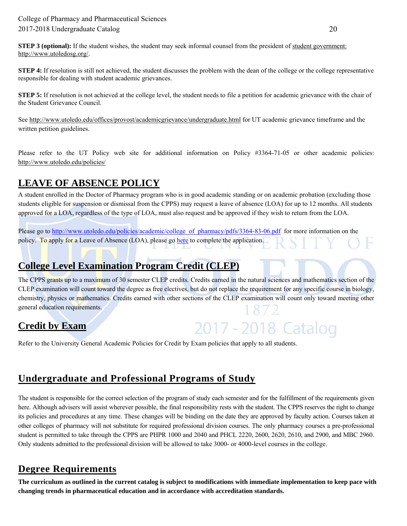**STEP 3 (optional):** If the student wishes, the student may seek informal counsel from the president of student government: http://www.utoledosg.org/.

**STEP 4:** If resolution is still not achieved, the student discusses the problem with the dean of the college or the college representative responsible for dealing with student academic grievances.

**STEP 5:** If resolution is not achieved at the college level, the student needs to file a petition for academic grievance with the chair of the Student Grievance Council.

See http://www.utoledo.edu/offices/provost/academicgrievance/undergraduate.html for UT academic grievance timeframe and the written petition guidelines.

Please refer to the UT Policy web site for additional information on Policy #3364-71-05 or other academic policies: http://www.utoledo.edu/policies/

## **LEAVE OF ABSENCE POLICY**

A student enrolled in the Doctor of Pharmacy program who is in good academic standing or on academic probation (excluding those students eligible for suspension or dismissal from the CPPS) may request a leave of absence (LOA) for up to 12 months. All students approved for a LOA, regardless of the type of LOA, must also request and be approved if they wish to return from the LOA.

Please go to http://www.utoledo.edu/policies/academic/college\_of\_pharmacy/pdfs/3364-83-06.pdf for more information on the policy. To apply for a Leave of Absence (LOA), please go here to complete the application.

## **College Level Examination Program Credit (CLEP)**

The CPPS grants up to a maximum of 30 semester CLEP credits. Credits earned in the natural sciences and mathematics section of the CLEP examination will count toward the degree as free electives, but do not replace the requirement for any specific course in biology, chemistry, physics or mathematics. Credits earned with other sections of the CLEP examination will count only toward meeting other general education requirements. 1872

2017 - 2018 Catalog

## **Credit by Exam**

Refer to the University General Academic Policies for Credit by Exam policies that apply to all students.

## **Undergraduate and Professional Programs of Study**

The student is responsible for the correct selection of the program of study each semester and for the fulfillment of the requirements given here. Although advisers will assist wherever possible, the final responsibility rests with the student. The CPPS reserves the right to change its policies and procedures at any time. These changes will be binding on the date they are approved by faculty action. Courses taken at other colleges of pharmacy will not substitute for required professional division courses. The only pharmacy courses a pre-professional student is permitted to take through the CPPS are PHPR 1000 and 2040 and PHCL 2220, 2600, 2620, 2610, and 2900, and MBC 2960. Only students admitted to the professional division will be allowed to take 3000- or 4000-level courses in the college.

## **Degree Requirements**

**The curriculum as outlined in the current catalog is subject to modifications with immediate implementation to keep pace with changing trends in pharmaceutical education and in accordance with accreditation standards.**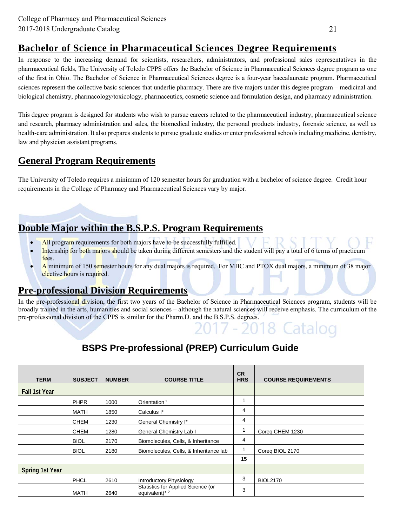## **Bachelor of Science in Pharmaceutical Sciences Degree Requirements**

In response to the increasing demand for scientists, researchers, administrators, and professional sales representatives in the pharmaceutical fields, The University of Toledo CPPS offers the Bachelor of Science in Pharmaceutical Sciences degree program as one of the first in Ohio. The Bachelor of Science in Pharmaceutical Sciences degree is a four-year baccalaureate program. Pharmaceutical sciences represent the collective basic sciences that underlie pharmacy. There are five majors under this degree program – medicinal and biological chemistry, pharmacology/toxicology, pharmaceutics, cosmetic science and formulation design, and pharmacy administration.

This degree program is designed for students who wish to pursue careers related to the pharmaceutical industry, pharmaceutical science and research, pharmacy administration and sales, the biomedical industry, the personal products industry, forensic science, as well as health-care administration. It also prepares students to pursue graduate studies or enter professional schools including medicine, dentistry, law and physician assistant programs.

## **General Program Requirements**

The University of Toledo requires a minimum of 120 semester hours for graduation with a bachelor of science degree. Credit hour requirements in the College of Pharmacy and Pharmaceutical Sciences vary by major.

## **Double Major within the B.S.P.S. Program Requirements**

- All program requirements for both majors have to be successfully fulfilled.
- Internship for both majors should be taken during different semesters and the student will pay a total of 6 terms of practicum fees.
- A minimum of 150 semester hours for any dual majors is required. For MBC and PTOX dual majors, a minimum of 38 major elective hours is required.

## **Pre-professional Division Requirements**

In the pre-professional division, the first two years of the Bachelor of Science in Pharmaceutical Sciences program, students will be broadly trained in the arts, humanities and social sciences – although the natural sciences will receive emphasis. The curriculum of the pre-professional division of the CPPS is similar for the Pharm.D. and the B.S.P.S. degrees.

## **BSPS Pre-professional (PREP) Curriculum Guide**

| <b>TERM</b>          | <b>SUBJECT</b> | <b>NUMBER</b> | <b>COURSE TITLE</b>                                  | <b>CR</b><br><b>HRS</b> | <b>COURSE REQUIREMENTS</b> |
|----------------------|----------------|---------------|------------------------------------------------------|-------------------------|----------------------------|
| <b>Fall 1st Year</b> |                |               |                                                      |                         |                            |
|                      | <b>PHPR</b>    | 1000          | Orientation <sup>1</sup>                             |                         |                            |
|                      | MATH           | 1850          | Calculus I*                                          | 4                       |                            |
|                      | <b>CHEM</b>    | 1230          | General Chemistry I*                                 | 4                       |                            |
|                      | <b>CHEM</b>    | 1280          | General Chemistry Lab I                              |                         | Coreg CHEM 1230            |
|                      | <b>BIOL</b>    | 2170          | Biomolecules, Cells, & Inheritance                   | 4                       |                            |
|                      | <b>BIOL</b>    | 2180          | Biomolecules, Cells, & Inheritance lab               |                         | Coreg BIOL 2170            |
|                      |                |               |                                                      | 15                      |                            |
| Spring 1st Year      |                |               |                                                      |                         |                            |
|                      | <b>PHCL</b>    | 2610          | Introductory Physiology                              | 3                       | <b>BIOL2170</b>            |
|                      | MATH           | 2640          | Statistics for Applied Science (or<br>equivalent)* 2 | 3                       |                            |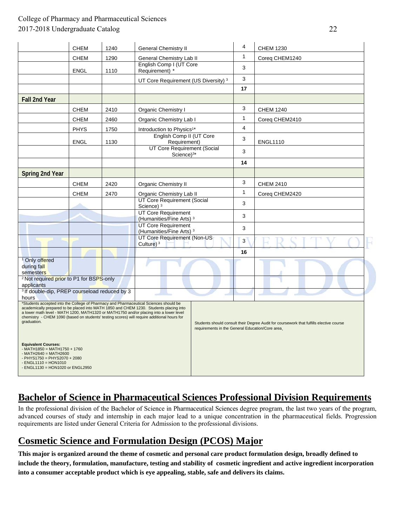|                                                                                                                                                                                                                                                                                                                                                                                         | <b>CHEM</b> | 1240 | <b>General Chemistry II</b>                                |                                                  | 4  | <b>CHEM 1230</b>                                                                        |
|-----------------------------------------------------------------------------------------------------------------------------------------------------------------------------------------------------------------------------------------------------------------------------------------------------------------------------------------------------------------------------------------|-------------|------|------------------------------------------------------------|--------------------------------------------------|----|-----------------------------------------------------------------------------------------|
|                                                                                                                                                                                                                                                                                                                                                                                         | <b>CHEM</b> | 1290 | <b>General Chemistry Lab II</b>                            |                                                  | 1  | Coreq CHEM1240                                                                          |
|                                                                                                                                                                                                                                                                                                                                                                                         | ENGL        | 1110 | English Comp I (UT Core<br>Requirement) *                  |                                                  | 3  |                                                                                         |
|                                                                                                                                                                                                                                                                                                                                                                                         |             |      | UT Core Requirement (US Diversity) <sup>3</sup>            |                                                  | 3  |                                                                                         |
|                                                                                                                                                                                                                                                                                                                                                                                         |             |      |                                                            |                                                  | 17 |                                                                                         |
| <b>Fall 2nd Year</b>                                                                                                                                                                                                                                                                                                                                                                    |             |      |                                                            |                                                  |    |                                                                                         |
|                                                                                                                                                                                                                                                                                                                                                                                         | <b>CHEM</b> | 2410 | Organic Chemistry I                                        |                                                  | 3  | <b>CHEM 1240</b>                                                                        |
|                                                                                                                                                                                                                                                                                                                                                                                         | <b>CHEM</b> | 2460 | Organic Chemistry Lab I                                    |                                                  | 1  | Coreq CHEM2410                                                                          |
|                                                                                                                                                                                                                                                                                                                                                                                         | <b>PHYS</b> | 1750 | Introduction to Physics <sup>1*</sup>                      |                                                  | 4  |                                                                                         |
|                                                                                                                                                                                                                                                                                                                                                                                         | <b>ENGL</b> | 1130 | English Comp II (UT Core<br>Requirement)                   |                                                  | 3  | <b>ENGL1110</b>                                                                         |
|                                                                                                                                                                                                                                                                                                                                                                                         |             |      | UT Core Requirement (Social<br>Science $)^{3*}$            |                                                  | 3  |                                                                                         |
|                                                                                                                                                                                                                                                                                                                                                                                         |             |      |                                                            |                                                  | 14 |                                                                                         |
| Spring 2nd Year                                                                                                                                                                                                                                                                                                                                                                         |             |      |                                                            |                                                  |    |                                                                                         |
|                                                                                                                                                                                                                                                                                                                                                                                         | <b>CHEM</b> | 2420 | <b>Organic Chemistry II</b>                                |                                                  | 3  | <b>CHEM 2410</b>                                                                        |
|                                                                                                                                                                                                                                                                                                                                                                                         | <b>CHEM</b> | 2470 | Organic Chemistry Lab II                                   |                                                  | 1  | Coreq CHEM2420                                                                          |
|                                                                                                                                                                                                                                                                                                                                                                                         |             |      | UT Core Requirement (Social<br>Science) <sup>3</sup>       |                                                  | 3  |                                                                                         |
|                                                                                                                                                                                                                                                                                                                                                                                         |             |      | UT Core Requirement<br>(Humanities/Fine Arts) <sup>3</sup> |                                                  | 3  |                                                                                         |
|                                                                                                                                                                                                                                                                                                                                                                                         |             |      | UT Core Requirement<br>(Humanities/Fine Arts) <sup>3</sup> |                                                  | 3  |                                                                                         |
|                                                                                                                                                                                                                                                                                                                                                                                         |             |      | UT Core Requirement (Non-US<br>Culture) $3$                |                                                  | 3  |                                                                                         |
|                                                                                                                                                                                                                                                                                                                                                                                         |             |      |                                                            |                                                  | 16 |                                                                                         |
| <sup>1</sup> Only offered<br>during fall<br>semesters                                                                                                                                                                                                                                                                                                                                   |             |      |                                                            |                                                  |    |                                                                                         |
| <sup>2</sup> Not required prior to P1 for BSPS-only<br>applicants                                                                                                                                                                                                                                                                                                                       |             |      |                                                            |                                                  |    |                                                                                         |
| <sup>3</sup> If double-dip, PREP courseload reduced by 3<br>hours                                                                                                                                                                                                                                                                                                                       |             |      |                                                            |                                                  |    |                                                                                         |
| *Students accepted into the College of Pharmacy and Pharmaceutical Sciences should be<br>academically prepared to be placed into MATH 1850 and CHEM 1230. Students placing into<br>a lower math level - MATH 1200, MATH1320 or MATH1750 and/or placing into a lower level<br>chemistry - CHEM 1090 (based on students' testing scores) will require additional hours for<br>graduation. |             |      |                                                            | requirements in the General Education/Core area. |    | Students should consult their Degree Audit for coursework that fulfills elective course |
| <b>Equivalent Courses:</b><br>$-$ MATH1850 = MATH1750 + 1760<br>$-MATH2640 = MATH2600$<br>- PHYS1750 = PHYS2070 + 2080<br>$-$ ENGL1110 = HON1010<br>- ENGL1130 = HON1020 or ENGL2950                                                                                                                                                                                                    |             |      |                                                            |                                                  |    |                                                                                         |

## **Bachelor of Science in Pharmaceutical Sciences Professional Division Requirements**

In the professional division of the Bachelor of Science in Pharmaceutical Sciences degree program, the last two years of the program, advanced courses of study and internship in each major lead to a unique concentration in the pharmaceutical fields. Progression requirements are listed under General Criteria for Admission to the professional divisions.

## **Cosmetic Science and Formulation Design (PCOS) Major**

**This major is organized around the theme of cosmetic and personal care product formulation design, broadly defined to include the theory, formulation, manufacture, testing and stability of cosmetic ingredient and active ingredient incorporation into a consumer acceptable product which is eye appealing, stable, safe and delivers its claims.**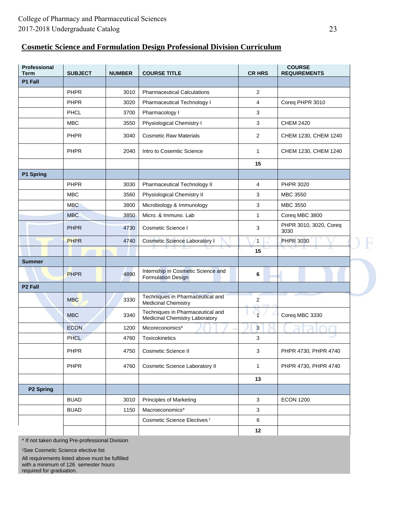### **Cosmetic Science and Formulation Design Professional Division Curriculum**

| Professional<br>Term | <b>SUBJECT</b> | <b>NUMBER</b> | <b>COURSE TITLE</b>                                                       | <b>CR HRS</b>           | <b>COURSE</b><br><b>REQUIREMENTS</b> |
|----------------------|----------------|---------------|---------------------------------------------------------------------------|-------------------------|--------------------------------------|
| P1 Fall              |                |               |                                                                           |                         |                                      |
|                      | PHPR           | 3010          | <b>Pharmaceutical Calculations</b>                                        | 2                       |                                      |
|                      | PHPR           | 3020          | Pharmaceutical Technology I                                               | 4                       | Coreq PHPR 3010                      |
|                      | PHCL           | 3700          | Pharmacology I                                                            | 3                       |                                      |
|                      | <b>MBC</b>     | 3550          | Physiological Chemistry I                                                 | 3                       | <b>CHEM 2420</b>                     |
|                      | PHPR           | 3040          | <b>Cosmetic Raw Materials</b>                                             | 2                       | CHEM 1230, CHEM 1240                 |
|                      | PHPR           | 2040          | Intro to Cosemtic Science                                                 | 1                       | CHEM 1230, CHEM 1240                 |
|                      |                |               |                                                                           | 15                      |                                      |
| P1 Spring            |                |               |                                                                           |                         |                                      |
|                      | <b>PHPR</b>    | 3030          | Pharmaceutical Technology II                                              | 4                       | PHPR 3020                            |
|                      | <b>MBC</b>     | 3560          | Physiological Chemistry II                                                | 3                       | <b>MBC 3550</b>                      |
|                      | <b>MBC</b>     | 3800          | Microbiology & Immunology                                                 | 3                       | <b>MBC 3550</b>                      |
|                      | <b>MBC</b>     | 3850          | Micro. & Immuno. Lab                                                      | $\mathbf{1}$            | Coreq MBC 3800                       |
|                      | <b>PHPR</b>    | 4730          | Cosmetic Science I                                                        | 3                       | PHPR 3010, 3020, Coreq<br>3030       |
|                      | <b>PHPR</b>    | 4740          | <b>Cosmetic Science Laboratory I</b>                                      | $\mathbf{1}$            | <b>PHPR 3030</b>                     |
|                      |                |               |                                                                           | 15                      |                                      |
| <b>Summer</b>        |                |               |                                                                           |                         |                                      |
|                      | <b>PHPR</b>    | 4890          | Internship in Cosmetic Science and<br><b>Formulation Design</b>           | 6                       |                                      |
| P <sub>2</sub> Fall  |                |               |                                                                           |                         |                                      |
|                      | <b>MBC</b>     | 3330          | Techniques in Pharmaceutical and<br>Medicinal Chemistry                   | $\overline{\mathbf{c}}$ |                                      |
|                      | <b>MBC</b>     | 3340          | Techniques in Pharmaceutical and<br><b>Medicinal Chemistry Laboratory</b> |                         | Coreq MBC 3330                       |
|                      | <b>ECON</b>    | 1200          | Micoreconomics*                                                           | 3                       |                                      |
|                      | PHCL           | 4760          | Toxicokinetics                                                            | 3                       |                                      |
|                      | PHPR           | 4750          | <b>Cosmetic Science II</b>                                                | 3                       | PHPR 4730, PHPR 4740                 |
|                      | PHPR           | 4760          | Cosmetic Science Laboratory II                                            | $\mathbf{1}$            | PHPR 4730, PHPR 4740                 |
|                      |                |               |                                                                           | 13                      |                                      |
| P2 Spring            |                |               |                                                                           |                         |                                      |
|                      | <b>BUAD</b>    | 3010          | Principles of Marketing                                                   | 3                       | <b>ECON 1200</b>                     |
|                      | <b>BUAD</b>    | 1150          | Macroeconomics*                                                           | 3                       |                                      |
|                      |                |               | Cosmetic Science Electives <sup>1</sup>                                   | 6                       |                                      |
|                      |                |               |                                                                           | 12                      |                                      |

\* If not taken during Pre-professional Division

1See Cosmetic Science elective list

All requirements listed above must be fulfilled with a minimum of 126 semester hours required for graduation.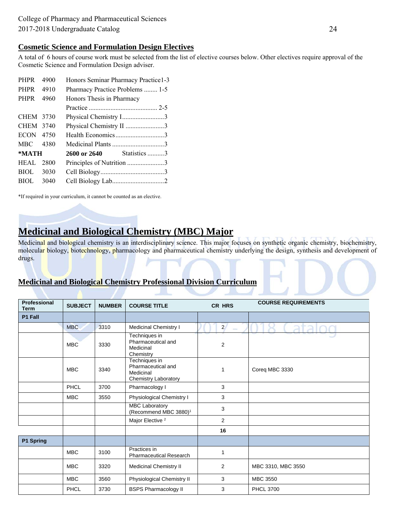#### **Cosmetic Science and Formulation Design Electives**

A total of 6 hours of course work must be selected from the list of elective courses below. Other electives require approval of the Cosmetic Science and Formulation Design adviser.

| <b>PHPR</b>      | 4900 | Honors Seminar Pharmacy Practice1-3 |  |
|------------------|------|-------------------------------------|--|
| PHPR             | 4910 | Pharmacy Practice Problems  1-5     |  |
| <b>PHPR</b>      | 4960 | Honors Thesis in Pharmacy           |  |
|                  |      |                                     |  |
| CHEM 3730        |      | Physical Chemistry I3               |  |
| CHEM 3740        |      | Physical Chemistry II 3             |  |
| ECON 4750        |      | Health Economics3                   |  |
| MBC 4380         |      |                                     |  |
| $*MATH$          |      | <b>2600 or 2640</b> Statistics 3    |  |
| <b>HEAL</b> 2800 |      | Principles of Nutrition 3           |  |
| BIOL.            | 3030 |                                     |  |
| BIOL <b>BIOL</b> | 3040 |                                     |  |
|                  |      |                                     |  |

\*If required in your curriculum, it cannot be counted as an elective.

## **Medicinal and Biological Chemistry (MBC) Major**

Medicinal and biological chemistry is an interdisciplinary science. This major focuses on synthetic organic chemistry, biochemistry, molecular biology, biotechnology, pharmacology and pharmaceutical chemistry underlying the design, synthesis and development of drugs.

### **Medicinal and Biological Chemistry Professional Division Curriculum**

| Professional<br><b>Term</b> | <b>SUBJECT</b> | <b>NUMBER</b> | <b>COURSE TITLE</b>                                                             | CR HRS                        | <b>COURSE REQUIREMENTS</b> |
|-----------------------------|----------------|---------------|---------------------------------------------------------------------------------|-------------------------------|----------------------------|
| P1 Fall                     |                |               |                                                                                 |                               |                            |
|                             | <b>MBC</b>     | 3310          | <b>Medicinal Chemistry I</b>                                                    | $2^{\prime}$<br><b>Common</b> | ata                        |
|                             | <b>MBC</b>     | 3330          | Techniques in<br>Pharmaceutical and<br>Medicinal<br>Chemistry                   | $\overline{2}$                |                            |
|                             | <b>MBC</b>     | 3340          | Techniques in<br>Pharmaceutical and<br>Medicinal<br><b>Chemistry Laboratory</b> | 1                             | Coreq MBC 3330             |
|                             | PHCL           | 3700          | Pharmacology I                                                                  | 3                             |                            |
|                             | <b>MBC</b>     | 3550          | Physiological Chemistry I                                                       | 3                             |                            |
|                             |                |               | <b>MBC Laboratory</b><br>(Recommend MBC 3880) <sup>1</sup>                      | 3                             |                            |
|                             |                |               | Major Elective <sup>2</sup>                                                     | 2                             |                            |
|                             |                |               |                                                                                 | 16                            |                            |
| P1 Spring                   |                |               |                                                                                 |                               |                            |
|                             | <b>MBC</b>     | 3100          | Practices in<br><b>Pharmaceutical Research</b>                                  | 1                             |                            |
|                             | <b>MBC</b>     | 3320          | <b>Medicinal Chemistry II</b>                                                   | 2                             | MBC 3310, MBC 3550         |
|                             | <b>MBC</b>     | 3560          | Physiological Chemistry II                                                      | 3                             | <b>MBC 3550</b>            |
|                             | PHCL           | 3730          | <b>BSPS Pharmacology II</b>                                                     | 3                             | <b>PHCL 3700</b>           |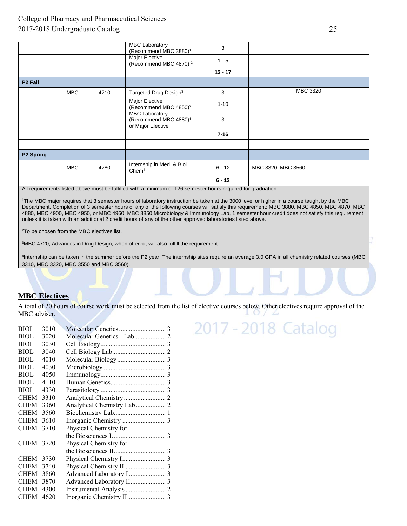|                     |            |      | <b>MBC Laboratory</b><br>(Recommend MBC 3880) <sup>1</sup>                      | 3         |                    |
|---------------------|------------|------|---------------------------------------------------------------------------------|-----------|--------------------|
|                     |            |      | Major Elective<br>(Recommend MBC 4870) <sup>2</sup>                             | $1 - 5$   |                    |
|                     |            |      |                                                                                 | $13 - 17$ |                    |
| P <sub>2</sub> Fall |            |      |                                                                                 |           |                    |
|                     | <b>MBC</b> | 4710 | Targeted Drug Design <sup>3</sup>                                               | 3         | MBC 3320           |
|                     |            |      | Major Elective<br>(Recommend MBC 4850) <sup>2</sup>                             | $1 - 10$  |                    |
|                     |            |      | <b>MBC Laboratory</b><br>(Recommend MBC 4880) <sup>1</sup><br>or Major Elective | 3         |                    |
|                     |            |      |                                                                                 | $7 - 16$  |                    |
|                     |            |      |                                                                                 |           |                    |
| <b>P2 Spring</b>    |            |      |                                                                                 |           |                    |
|                     | <b>MBC</b> | 4780 | Internship in Med. & Biol.<br>Chem <sup>4</sup>                                 | $6 - 12$  | MBC 3320, MBC 3560 |
|                     |            |      |                                                                                 | $6 - 12$  |                    |

All requirements listed above must be fulfilled with a minimum of 126 semester hours required for graduation.

1The MBC major requires that 3 semester hours of laboratory instruction be taken at the 3000 level or higher in a course taught by the MBC Department. Completion of 3 semester hours of any of the following courses will satisfy this requirement: MBC 3880, MBC 4850, MBC 4870, MBC 4880, MBC 4900, MBC 4950, or MBC 4960. MBC 3850 Microbiology & Immunology Lab, 1 semester hour credit does not satisfy this requirement unless it is taken with an additional 2 credit hours of any of the other approved laboratories listed above.

2To be chosen from the MBC electives list.

3MBC 4720, Advances in Drug Design, when offered, will also fulfill the requirement.

4Internship can be taken in the summer before the P2 year. The internship sites require an average 3.0 GPA in all chemistry related courses (MBC 3310, MBC 3320, MBC 3550 and MBC 3560).

#### **MBC Electives**

A total of 20 hours of course work must be selected from the list of elective courses below. Other electives require approval of the MBC adviser.

| BIOL        | 3010 |                             |  |
|-------------|------|-----------------------------|--|
| <b>BIOL</b> | 3020 | Molecular Genetics - Lab  2 |  |
| BIOL        | 3030 |                             |  |
| BIOL        | 3040 |                             |  |
| <b>BIOL</b> | 4010 |                             |  |
| <b>BIOL</b> | 4030 |                             |  |
| <b>BIOL</b> | 4050 |                             |  |
| <b>BIOL</b> | 4110 |                             |  |
| BIOL        | 4330 |                             |  |
| CHEM        | 3310 |                             |  |
| <b>CHEM</b> | 3360 |                             |  |
| <b>CHEM</b> | 3560 |                             |  |
| <b>CHEM</b> | 3610 |                             |  |
| <b>CHEM</b> | 3710 | Physical Chemistry for      |  |
|             |      |                             |  |
| CHEM 3720   |      | Physical Chemistry for      |  |
|             |      |                             |  |
| CHEM        | 3730 |                             |  |
| CHEM        | 3740 |                             |  |
| <b>CHEM</b> | 3860 |                             |  |
| <b>CHEM</b> | 3870 |                             |  |
| <b>CHEM</b> | 4300 |                             |  |
| <b>CHEM</b> | 4620 |                             |  |
|             |      |                             |  |

# 2017 - 2018 Catalog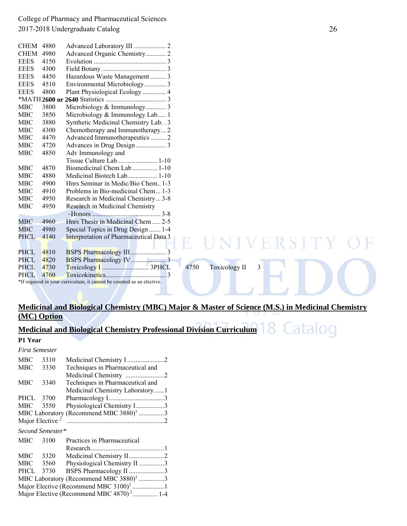| Advanced Organic Chemistry 2<br><b>CHEM</b><br>4980<br><b>EEES</b><br>4150<br><b>EEES</b><br>4300<br>Hazardous Waste Management  3<br><b>EEES</b><br>4450<br>Environmental Microbiology 3<br><b>EEES</b><br>4510<br>Plant Physiological Ecology  4<br><b>EEES</b><br>4800<br>Microbiology & Immunology 3<br>MBC<br>3800<br><b>MBC</b><br>3850<br>Microbiology & Immunology Lab 1<br>Synthetic Medicinal Chemistry Lab. . 3<br><b>MBC</b><br>3880<br>Chemotherapy and Immunotherapy 2<br><b>MBC</b><br>4300<br><b>MBC</b><br>Advanced Immunotherapeutics  2<br>4470<br>Advances in Drug Design 3<br><b>MBC</b><br>4720<br><b>MBC</b><br>4850<br>Adv Immunology and<br>Tissue Culture Lab 1-10<br>Biomedicinal Chem Lab  1-10<br><b>MBC</b><br>4870<br><b>MBC</b><br>4880<br><b>MBC</b><br>Hnrs Seminar in Medic/Bio Chem 1-3<br>4900<br><b>MBC</b><br>4910<br>Problems in Bio-medicinal Chem 1-3<br><b>MBC</b><br>4950<br>Research in Medicinal Chemistry 3-8<br>Research in Medicinal Chemistry<br>MBC<br>4950<br>MBC<br>4960<br>Hnrs Thesis in Medicinal Chem  2-5<br>MBC<br>4980<br>Special Topics in Drug Design  1-4<br>Interpretation of Pharmaceutical Data 3<br><b>PHCL</b><br>4140<br>ERSIT<br>H,<br><b>PHCL</b><br>4810<br><b>PHCL</b><br>4820<br>3<br><b>PHCL</b><br>4750<br><b>Toxicology II</b><br>4730<br>4760<br><b>PHCL</b><br>*If required in your curriculum, it cannot be counted as an elective. | <b>CHEM 4880</b> |  |
|---------------------------------------------------------------------------------------------------------------------------------------------------------------------------------------------------------------------------------------------------------------------------------------------------------------------------------------------------------------------------------------------------------------------------------------------------------------------------------------------------------------------------------------------------------------------------------------------------------------------------------------------------------------------------------------------------------------------------------------------------------------------------------------------------------------------------------------------------------------------------------------------------------------------------------------------------------------------------------------------------------------------------------------------------------------------------------------------------------------------------------------------------------------------------------------------------------------------------------------------------------------------------------------------------------------------------------------------------------------------------------------------------------------------|------------------|--|
|                                                                                                                                                                                                                                                                                                                                                                                                                                                                                                                                                                                                                                                                                                                                                                                                                                                                                                                                                                                                                                                                                                                                                                                                                                                                                                                                                                                                                     |                  |  |
|                                                                                                                                                                                                                                                                                                                                                                                                                                                                                                                                                                                                                                                                                                                                                                                                                                                                                                                                                                                                                                                                                                                                                                                                                                                                                                                                                                                                                     |                  |  |
|                                                                                                                                                                                                                                                                                                                                                                                                                                                                                                                                                                                                                                                                                                                                                                                                                                                                                                                                                                                                                                                                                                                                                                                                                                                                                                                                                                                                                     |                  |  |
|                                                                                                                                                                                                                                                                                                                                                                                                                                                                                                                                                                                                                                                                                                                                                                                                                                                                                                                                                                                                                                                                                                                                                                                                                                                                                                                                                                                                                     |                  |  |
|                                                                                                                                                                                                                                                                                                                                                                                                                                                                                                                                                                                                                                                                                                                                                                                                                                                                                                                                                                                                                                                                                                                                                                                                                                                                                                                                                                                                                     |                  |  |
|                                                                                                                                                                                                                                                                                                                                                                                                                                                                                                                                                                                                                                                                                                                                                                                                                                                                                                                                                                                                                                                                                                                                                                                                                                                                                                                                                                                                                     |                  |  |
|                                                                                                                                                                                                                                                                                                                                                                                                                                                                                                                                                                                                                                                                                                                                                                                                                                                                                                                                                                                                                                                                                                                                                                                                                                                                                                                                                                                                                     |                  |  |
|                                                                                                                                                                                                                                                                                                                                                                                                                                                                                                                                                                                                                                                                                                                                                                                                                                                                                                                                                                                                                                                                                                                                                                                                                                                                                                                                                                                                                     |                  |  |
|                                                                                                                                                                                                                                                                                                                                                                                                                                                                                                                                                                                                                                                                                                                                                                                                                                                                                                                                                                                                                                                                                                                                                                                                                                                                                                                                                                                                                     |                  |  |
|                                                                                                                                                                                                                                                                                                                                                                                                                                                                                                                                                                                                                                                                                                                                                                                                                                                                                                                                                                                                                                                                                                                                                                                                                                                                                                                                                                                                                     |                  |  |
|                                                                                                                                                                                                                                                                                                                                                                                                                                                                                                                                                                                                                                                                                                                                                                                                                                                                                                                                                                                                                                                                                                                                                                                                                                                                                                                                                                                                                     |                  |  |
|                                                                                                                                                                                                                                                                                                                                                                                                                                                                                                                                                                                                                                                                                                                                                                                                                                                                                                                                                                                                                                                                                                                                                                                                                                                                                                                                                                                                                     |                  |  |
|                                                                                                                                                                                                                                                                                                                                                                                                                                                                                                                                                                                                                                                                                                                                                                                                                                                                                                                                                                                                                                                                                                                                                                                                                                                                                                                                                                                                                     |                  |  |
|                                                                                                                                                                                                                                                                                                                                                                                                                                                                                                                                                                                                                                                                                                                                                                                                                                                                                                                                                                                                                                                                                                                                                                                                                                                                                                                                                                                                                     |                  |  |
|                                                                                                                                                                                                                                                                                                                                                                                                                                                                                                                                                                                                                                                                                                                                                                                                                                                                                                                                                                                                                                                                                                                                                                                                                                                                                                                                                                                                                     |                  |  |
|                                                                                                                                                                                                                                                                                                                                                                                                                                                                                                                                                                                                                                                                                                                                                                                                                                                                                                                                                                                                                                                                                                                                                                                                                                                                                                                                                                                                                     |                  |  |
|                                                                                                                                                                                                                                                                                                                                                                                                                                                                                                                                                                                                                                                                                                                                                                                                                                                                                                                                                                                                                                                                                                                                                                                                                                                                                                                                                                                                                     |                  |  |
|                                                                                                                                                                                                                                                                                                                                                                                                                                                                                                                                                                                                                                                                                                                                                                                                                                                                                                                                                                                                                                                                                                                                                                                                                                                                                                                                                                                                                     |                  |  |
|                                                                                                                                                                                                                                                                                                                                                                                                                                                                                                                                                                                                                                                                                                                                                                                                                                                                                                                                                                                                                                                                                                                                                                                                                                                                                                                                                                                                                     |                  |  |
|                                                                                                                                                                                                                                                                                                                                                                                                                                                                                                                                                                                                                                                                                                                                                                                                                                                                                                                                                                                                                                                                                                                                                                                                                                                                                                                                                                                                                     |                  |  |
|                                                                                                                                                                                                                                                                                                                                                                                                                                                                                                                                                                                                                                                                                                                                                                                                                                                                                                                                                                                                                                                                                                                                                                                                                                                                                                                                                                                                                     |                  |  |
|                                                                                                                                                                                                                                                                                                                                                                                                                                                                                                                                                                                                                                                                                                                                                                                                                                                                                                                                                                                                                                                                                                                                                                                                                                                                                                                                                                                                                     |                  |  |
|                                                                                                                                                                                                                                                                                                                                                                                                                                                                                                                                                                                                                                                                                                                                                                                                                                                                                                                                                                                                                                                                                                                                                                                                                                                                                                                                                                                                                     |                  |  |
|                                                                                                                                                                                                                                                                                                                                                                                                                                                                                                                                                                                                                                                                                                                                                                                                                                                                                                                                                                                                                                                                                                                                                                                                                                                                                                                                                                                                                     |                  |  |
|                                                                                                                                                                                                                                                                                                                                                                                                                                                                                                                                                                                                                                                                                                                                                                                                                                                                                                                                                                                                                                                                                                                                                                                                                                                                                                                                                                                                                     |                  |  |
|                                                                                                                                                                                                                                                                                                                                                                                                                                                                                                                                                                                                                                                                                                                                                                                                                                                                                                                                                                                                                                                                                                                                                                                                                                                                                                                                                                                                                     |                  |  |
|                                                                                                                                                                                                                                                                                                                                                                                                                                                                                                                                                                                                                                                                                                                                                                                                                                                                                                                                                                                                                                                                                                                                                                                                                                                                                                                                                                                                                     |                  |  |
|                                                                                                                                                                                                                                                                                                                                                                                                                                                                                                                                                                                                                                                                                                                                                                                                                                                                                                                                                                                                                                                                                                                                                                                                                                                                                                                                                                                                                     |                  |  |
|                                                                                                                                                                                                                                                                                                                                                                                                                                                                                                                                                                                                                                                                                                                                                                                                                                                                                                                                                                                                                                                                                                                                                                                                                                                                                                                                                                                                                     |                  |  |
|                                                                                                                                                                                                                                                                                                                                                                                                                                                                                                                                                                                                                                                                                                                                                                                                                                                                                                                                                                                                                                                                                                                                                                                                                                                                                                                                                                                                                     |                  |  |
|                                                                                                                                                                                                                                                                                                                                                                                                                                                                                                                                                                                                                                                                                                                                                                                                                                                                                                                                                                                                                                                                                                                                                                                                                                                                                                                                                                                                                     |                  |  |

### **Medicinal and Biological Chemistry (MBC) Major & Master of Science (M.S.) in Medicinal Chemistry (MC) Option**

#### Catalog **Medicinal and Biological Chemistry Professional Division Curriculum**

**P1 Year** 

|                                                      | <b>First Semester</b> |                                                    |  |  |  |  |
|------------------------------------------------------|-----------------------|----------------------------------------------------|--|--|--|--|
| MBC                                                  | 3310                  |                                                    |  |  |  |  |
| MBC                                                  | 3330                  | Techniques in Pharmaceutical and                   |  |  |  |  |
|                                                      |                       |                                                    |  |  |  |  |
| MBC                                                  | 3340                  | Techniques in Pharmaceutical and                   |  |  |  |  |
|                                                      |                       | Medicinal Chemistry Laboratory1                    |  |  |  |  |
| PHCL                                                 | 3700                  |                                                    |  |  |  |  |
| MBC                                                  | 3550                  | Physiological Chemistry I3                         |  |  |  |  |
|                                                      |                       | MBC Laboratory (Recommend MBC 3880) <sup>1</sup> 3 |  |  |  |  |
| Major Elective <sup>2</sup>                          |                       |                                                    |  |  |  |  |
|                                                      | Second Semester*      |                                                    |  |  |  |  |
| MBC                                                  | 3100                  | Practices in Pharmaceutical                        |  |  |  |  |
|                                                      |                       |                                                    |  |  |  |  |
| MBC                                                  | 3320                  | Medicinal Chemistry II2                            |  |  |  |  |
| MBC                                                  | 3560                  | Physiological Chemistry II 3                       |  |  |  |  |
| PHCL                                                 | 3730                  | BSPS Pharmacology II 3                             |  |  |  |  |
| MBC Laboratory (Recommend MBC 3880) <sup>1</sup> 3   |                       |                                                    |  |  |  |  |
| Major Elective (Recommend MBC 3100) <sup>2</sup> 1   |                       |                                                    |  |  |  |  |
| Major Elective (Recommend MBC 4870) <sup>2</sup> 1-4 |                       |                                                    |  |  |  |  |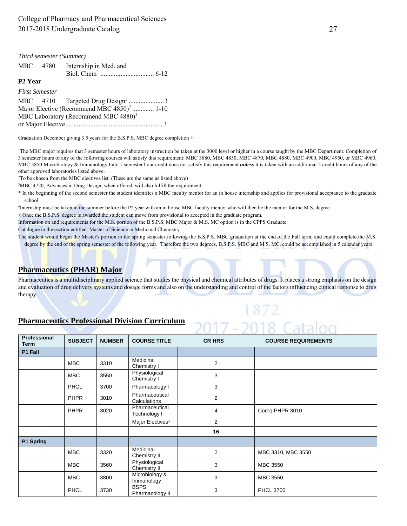|                                                       | Third semester (Summer) |                                                  |  |  |  |
|-------------------------------------------------------|-------------------------|--------------------------------------------------|--|--|--|
|                                                       | MBC 4780                | Internship in Med. and                           |  |  |  |
| P <sub>2</sub> Year                                   |                         |                                                  |  |  |  |
| <b>First Semester</b>                                 |                         |                                                  |  |  |  |
|                                                       |                         | MBC 4710 Targeted Drug Design <sup>3</sup> 3     |  |  |  |
| Major Elective (Recommend MBC 4850) <sup>2</sup> 1-10 |                         |                                                  |  |  |  |
|                                                       |                         | MBC Laboratory (Recommend MBC 4880) <sup>1</sup> |  |  |  |
|                                                       |                         |                                                  |  |  |  |

Graduation December giving 3.5 years for the B.S.P.S. MBC degree completion +

<sup>1</sup>The MBC major requires that 3 semester hours of laboratory instruction be taken at the 3000 level or higher in a course taught by the MBC Department. Completion of 3 semester hours of any of the following courses will satisfy this requirement: MBC 3880, MBC 4850, MBC 4870, MBC 4880, MBC 4900, MBC 4950, or MBC 4960. MBC 3850 Microbiology & Immunology Lab, 1 semester hour credit does not satisfy this requirement *unless* it is taken with an additional 2 credit hours of any of the other approved laboratories listed above.

<sup>2</sup>To be chosen from the MBC electives list. (These are the same as listed above)

<sup>3</sup>MBC 4720, Advances in Drug Design, when offered, will also fulfill the requirement.

\* In the beginning of the second semester the student identifies a MBC faculty mentor for an in house internship and applies for provisional acceptance to the graduate school

4 Internship must be taken in the summer before the P2 year with an in house MBC faculty mentor who will then be the mentor for the M.S. degree.

+ Once the B.S.P.S. degree is awarded the student can move from provisional to accepted in the graduate program.

Information on and requirements for the M.S. portion of the B.S.P.S. MBC Major & M.S. MC option is in the CPPS Graduate

Catalogue in the section entitled: Master of Science in Medicinal Chemistry

The student would begin the Master's portion in the spring semester following the B.S.P.S. MBC graduation at the end of the Fall term, and could complete the M.S. degree by the end of the spring semester of the following year. Therefore the two degrees, B.S.P.S. MBC and M.S. MC, could be accomplished in 5 calendar years.

#### **Pharmaceutics (PHAR) Major**

Pharmaceutics is a multidisciplinary applied science that studies the physical and chemical attributes of drugs. It places a strong emphasis on the design and evaluation of drug delivery systems and dosage forms and also on the understanding and control of the factors influencing clinical response to drug therapy.

1872

2017 - 2018 Catalog

#### **Pharmaceutics Professional Division Curriculum**

| Professional<br><b>Term</b> | <b>SUBJECT</b> | <b>NUMBER</b> | <b>COURSE TITLE</b>            | <b>CR HRS</b>  | <b>COURSE REQUIREMENTS</b> |  |
|-----------------------------|----------------|---------------|--------------------------------|----------------|----------------------------|--|
| P1 Fall                     |                |               |                                |                |                            |  |
|                             | <b>MBC</b>     | 3310          | Medicinal<br>Chemistry I       | $\overline{2}$ |                            |  |
|                             | <b>MBC</b>     | 3550          | Physiological<br>Chemistry I   | 3              |                            |  |
|                             | <b>PHCL</b>    | 3700          | Pharmacology I                 | 3              |                            |  |
|                             | <b>PHPR</b>    | 3010          | Pharmaceutical<br>Calculations | $\overline{2}$ |                            |  |
|                             | <b>PHPR</b>    | 3020          | Pharmaceutical<br>Technology I | 4              | Coreg PHPR 3010            |  |
|                             |                |               | Major Electives <sup>1</sup>   | 2              |                            |  |
|                             |                |               |                                | 16             |                            |  |
| P1 Spring                   |                |               |                                |                |                            |  |
|                             | <b>MBC</b>     | 3320          | Medicinal<br>Chemistry II      | 2              | MBC 3310, MBC 3550         |  |
|                             | <b>MBC</b>     | 3560          | Physiological<br>Chemistry II  | 3              | MBC 3550                   |  |
|                             | <b>MBC</b>     | 3800          | Microbiology &<br>Immunology   | 3              | MBC 3550                   |  |
|                             | <b>PHCL</b>    | 3730          | <b>BSPS</b><br>Pharmacology II | 3              | <b>PHCL 3700</b>           |  |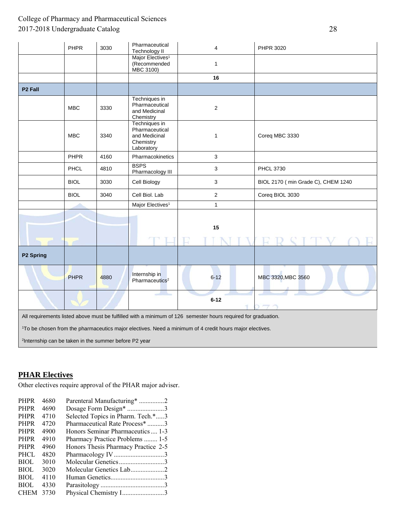|                                                                                                               | PHPR        | 3030 | Pharmaceutical<br>Technology II                                             | 4              | PHPR 3020                          |  |  |  |
|---------------------------------------------------------------------------------------------------------------|-------------|------|-----------------------------------------------------------------------------|----------------|------------------------------------|--|--|--|
|                                                                                                               |             |      | Major Electives <sup>1</sup><br>(Recommended<br>MBC 3100)                   | $\mathbf{1}$   |                                    |  |  |  |
|                                                                                                               |             |      |                                                                             | 16             |                                    |  |  |  |
| P <sub>2</sub> Fall                                                                                           |             |      |                                                                             |                |                                    |  |  |  |
|                                                                                                               | <b>MBC</b>  | 3330 | Techniques in<br>Pharmaceutical<br>and Medicinal<br>Chemistry               | $\overline{2}$ |                                    |  |  |  |
|                                                                                                               | <b>MBC</b>  | 3340 | Techniques in<br>Pharmaceutical<br>and Medicinal<br>Chemistry<br>Laboratory | 1              | Coreq MBC 3330                     |  |  |  |
|                                                                                                               | <b>PHPR</b> | 4160 | Pharmacokinetics                                                            | 3              |                                    |  |  |  |
|                                                                                                               | PHCL        | 4810 | <b>BSPS</b><br>Pharmacology III                                             | 3              | <b>PHCL 3730</b>                   |  |  |  |
|                                                                                                               | <b>BIOL</b> | 3030 | Cell Biology                                                                | 3              | BIOL 2170 (min Grade C), CHEM 1240 |  |  |  |
|                                                                                                               | <b>BIOL</b> | 3040 | Cell Biol. Lab                                                              | $\overline{c}$ | Coreq BIOL 3030                    |  |  |  |
|                                                                                                               |             |      | Major Electives <sup>1</sup>                                                | $\mathbf{1}$   |                                    |  |  |  |
|                                                                                                               |             |      |                                                                             | 15             |                                    |  |  |  |
|                                                                                                               |             |      |                                                                             |                |                                    |  |  |  |
| P2 Spring                                                                                                     |             |      |                                                                             |                |                                    |  |  |  |
|                                                                                                               | PHPR        | 4880 | Internship in<br>Pharmaceutics <sup>2</sup>                                 | $6 - 12$       | MBC 3320, MBC 3560                 |  |  |  |
|                                                                                                               |             |      |                                                                             | $6 - 12$       |                                    |  |  |  |
| All requirements listed above must be fulfilled with a minimum of 126 semester hours required for graduation. |             |      |                                                                             |                |                                    |  |  |  |
| 1To be chosen from the pharmaceutics major electives. Need a minimum of 4 credit hours major electives.       |             |      |                                                                             |                |                                    |  |  |  |
| <sup>2</sup> Internship can be taken in the summer before P2 year                                             |             |      |                                                                             |                |                                    |  |  |  |

### **PHAR Electives**

Other electives require approval of the PHAR major adviser.

| 4680 | Parenteral Manufacturing* 2         |
|------|-------------------------------------|
| 4690 | Dosage Form Design* 3               |
| 4710 | Selected Topics in Pharm. Tech.*3   |
| 4720 | Pharmaceutical Rate Process* 3      |
| 4900 | Honors Seminar Pharmaceutics  1-3   |
| 4910 | Pharmacy Practice Problems  1-5     |
| 4960 | Honors Thesis Pharmacy Practice 2-5 |
| 4820 | Pharmacology IV3                    |
| 3010 | Molecular Genetics3                 |
| 3020 | Molecular Genetics Lab2             |
| 4110 |                                     |
| 4330 |                                     |
| 3730 | Physical Chemistry I3               |
|      |                                     |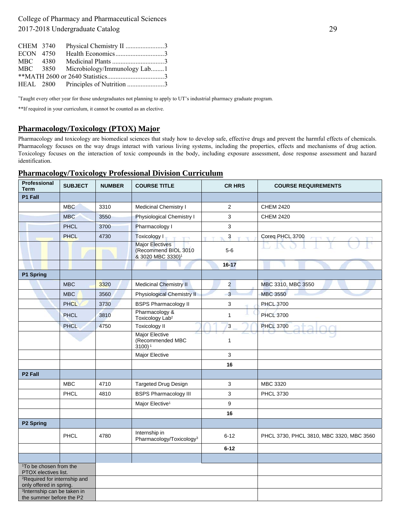| CHEM 3740 | Physical Chemistry II 3               |  |
|-----------|---------------------------------------|--|
| ECON 4750 |                                       |  |
| MBC 4380  |                                       |  |
|           | MBC 3850 Microbiology/Immunology Lab1 |  |
|           |                                       |  |
|           | HEAL 2800 Principles of Nutrition 3   |  |

\* Taught every other year for those undergraduates not planning to apply to UT's industrial pharmacy graduate program.

\*\*If required in your curriculum, it cannot be counted as an elective.

#### **Pharmacology/Toxicology (PTOX) Major**

Pharmacology and toxicology are biomedical sciences that study how to develop safe, effective drugs and prevent the harmful effects of chemicals. Pharmacology focuses on the way drugs interact with various living systems, including the properties, effects and mechanisms of drug action. Toxicology focuses on the interaction of toxic compounds in the body, including exposure assessment, dose response assessment and hazard identification.

#### **Pharmacology/Toxicology Professional Division Curriculum**

| Professional<br>Term                                                | <b>SUBJECT</b> | <b>NUMBER</b> | <b>COURSE TITLE</b>                                                             | <b>CR HRS</b>             | <b>COURSE REQUIREMENTS</b>               |
|---------------------------------------------------------------------|----------------|---------------|---------------------------------------------------------------------------------|---------------------------|------------------------------------------|
| P1 Fall                                                             |                |               |                                                                                 |                           |                                          |
|                                                                     | <b>MBC</b>     | 3310          | Medicinal Chemistry I                                                           | $\overline{2}$            | <b>CHEM 2420</b>                         |
|                                                                     | <b>MBC</b>     | 3550          | Physiological Chemistry I                                                       | 3                         | <b>CHEM 2420</b>                         |
|                                                                     | <b>PHCL</b>    | 3700          | Pharmacology I                                                                  | 3                         |                                          |
|                                                                     | <b>PHCL</b>    | 4730          | Toxicology I<br><b>E</b> TEM                                                    | $\mathbf{3}$<br><b>CY</b> | Coreq PHCL 3700<br>$+Y$                  |
|                                                                     |                |               | <b>Major Electives</b><br>(Recommend BIOL 3010<br>& 3020 MBC 3330) <sup>1</sup> | $5-6$                     |                                          |
|                                                                     |                |               |                                                                                 | $16 - 17$                 |                                          |
| P1 Spring                                                           |                |               |                                                                                 |                           |                                          |
|                                                                     | <b>MBC</b>     | 3320          | <b>Medicinal Chemistry II</b>                                                   | $\overline{2}$            | MBC 3310, MBC 3550                       |
|                                                                     | <b>MBC</b>     | 3560          | <b>Physiological Chemistry II</b>                                               | 3                         | <b>MBC 3550</b>                          |
|                                                                     | <b>PHCL</b>    | 3730          | <b>BSPS Pharmacology II</b>                                                     | 3                         | <b>PHCL 3700</b>                         |
|                                                                     | <b>PHCL</b>    | 3810          | Pharmacology &<br>Toxicology Lab <sup>2</sup>                                   | $\mathbf{1}$              | <b>PHCL 3700</b>                         |
|                                                                     | <b>PHCL</b>    | 4750          | <b>Toxicology II</b>                                                            | 3                         | <b>PHCL 3700</b>                         |
|                                                                     |                |               | <b>Major Elective</b><br>(Recommended MBC<br>$3100$ <sup>1</sup>                | $\mathbf{1}$              |                                          |
|                                                                     |                |               | Major Elective                                                                  | 3                         |                                          |
|                                                                     |                |               |                                                                                 | 16                        |                                          |
| P <sub>2</sub> Fall                                                 |                |               |                                                                                 |                           |                                          |
|                                                                     | <b>MBC</b>     | 4710          | <b>Targeted Drug Design</b>                                                     | 3                         | MBC 3320                                 |
|                                                                     | PHCL           | 4810          | <b>BSPS Pharmacology III</b>                                                    | 3                         | <b>PHCL 3730</b>                         |
|                                                                     |                |               | Major Elective <sup>1</sup>                                                     | 9                         |                                          |
|                                                                     |                |               |                                                                                 | 16                        |                                          |
| P2 Spring                                                           |                |               |                                                                                 |                           |                                          |
|                                                                     | PHCL           | 4780          | Internship in<br>Pharmacology/Toxicology <sup>3</sup>                           | $6 - 12$                  | PHCL 3730, PHCL 3810, MBC 3320, MBC 3560 |
|                                                                     |                |               |                                                                                 | $6 - 12$                  |                                          |
|                                                                     |                |               |                                                                                 |                           |                                          |
| <sup>1</sup> To be chosen from the<br>PTOX electives list.          |                |               |                                                                                 |                           |                                          |
| <sup>2</sup> Required for internship and<br>only offered in spring. |                |               |                                                                                 |                           |                                          |
| <sup>3</sup> Internship can be taken in<br>the summer before the P2 |                |               |                                                                                 |                           |                                          |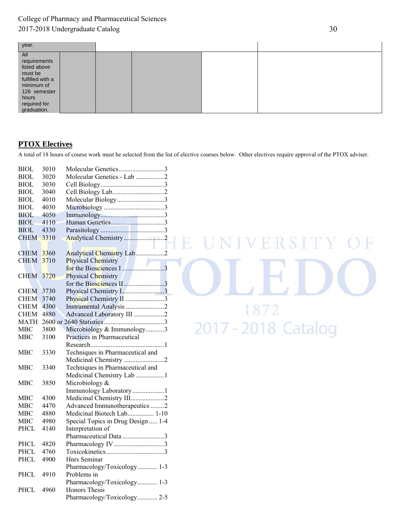| year.                       |  |  |  |  |  |
|-----------------------------|--|--|--|--|--|
| All                         |  |  |  |  |  |
| requirements                |  |  |  |  |  |
| listed above                |  |  |  |  |  |
| must be                     |  |  |  |  |  |
| fulfilled with a            |  |  |  |  |  |
| minimum of                  |  |  |  |  |  |
| 126 semester                |  |  |  |  |  |
| hours                       |  |  |  |  |  |
| required for<br>graduation. |  |  |  |  |  |
|                             |  |  |  |  |  |

### **PTOX Electives**

A total of 18 hours of course work must be selected from the list of elective courses below. Other electives require approval of the PTOX adviser.

| <b>BIOL</b> | 3010 | Molecular Genetics3                |
|-------------|------|------------------------------------|
| <b>BIOL</b> | 3020 | Molecular Genetics - Lab 2         |
| <b>BIOL</b> | 3030 |                                    |
| <b>BIOL</b> | 3040 |                                    |
| <b>BIOL</b> | 4010 | Molecular Biology3                 |
| <b>BIOL</b> | 4030 |                                    |
| <b>BIOL</b> | 4050 |                                    |
| BIOL        | 4110 |                                    |
| BIOL        | 4330 |                                    |
| <b>CHEM</b> | 3310 |                                    |
|             |      |                                    |
| <b>CHEM</b> | 3360 | Analytical Chemistry Lab2          |
| <b>CHEM</b> | 3710 | Physical Chemistry                 |
|             |      |                                    |
| <b>CHEM</b> | 3720 | Physical Chemistry                 |
|             |      | for the Biosciences II3            |
| <b>CHEM</b> | 3730 | Physical Chemistry I3              |
| <b>CHEM</b> | 3740 | Physical Chemistry II 3            |
| <b>CHEM</b> | 4300 |                                    |
| <b>CHEM</b> | 4880 | Advanced Laboratory III 2          |
| <b>MATH</b> |      |                                    |
| <b>MBC</b>  | 3800 | Microbiology & Immunology3         |
| MBC         | 3100 | Practices in Pharmaceutical        |
|             |      |                                    |
| MBC         | 3330 | Techniques in Pharmaceutical and   |
|             |      | Medicinal Chemistry 2              |
| <b>MBC</b>  | 3340 | Techniques in Pharmaceutical and   |
|             |      | Medicinal Chemistry Lab 1          |
| <b>MBC</b>  | 3850 | Microbiology &                     |
|             |      | Immunology Laboratory1             |
| MBC         | 4300 | Medicinal Chemistry III2           |
| MBC         | 4470 | Advanced Immunotherapeutics 2      |
| MBC         | 4880 | Medicinal Biotech Lab 1-10         |
| MBC         | 4980 | Special Topics in Drug Design  1-4 |
| PHCL        | 4140 | Interpretation of                  |
|             |      | Pharmaceutical Data 3              |
| <b>PHCL</b> | 4820 |                                    |
| PHCL        | 4760 |                                    |
| <b>PHCL</b> | 4900 | Hnrs Seminar                       |
|             |      | Pharmacology/Toxicology 1-3        |
| PHCL        | 4910 | Problems in                        |
|             |      | Pharmacology/Toxicology 1-3        |
| <b>PHCL</b> | 4960 | <b>Honors Thesis</b>               |
|             |      | Pharmacology/Toxicology 2-5        |
|             |      |                                    |

**INIVERSITY**  $\mathbb{R}$ ILEDC 1872 17 - 2018 Catalog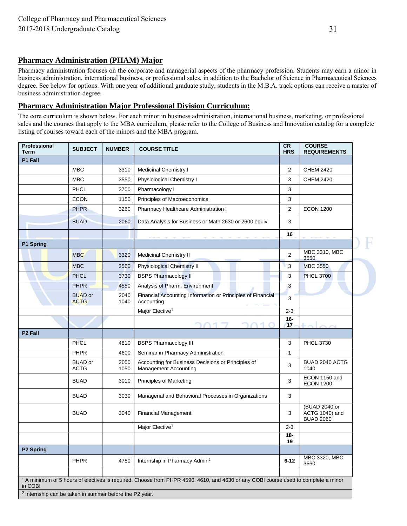#### **Pharmacy Administration (PHAM) Major**

Pharmacy administration focuses on the corporate and managerial aspects of the pharmacy profession. Students may earn a minor in business administration, international business, or professional sales, in addition to the Bachelor of Science in Pharmaceutical Sciences degree. See below for options. With one year of additional graduate study, students in the M.B.A. track options can receive a master of business administration degree.

#### **Pharmacy Administration Major Professional Division Curriculum:**

The core curriculum is shown below. For each minor in business administration, international business, marketing, or professional sales and the courses that apply to the MBA curriculum, please refer to the College of Business and Innovation catalog for a complete listing of courses toward each of the minors and the MBA program.

| Professional<br><b>Term</b>                                        | <b>SUBJECT</b>                | <b>NUMBER</b> | <b>COURSE TITLE</b>                                                                                                                           | CR<br><b>HRS</b> | <b>COURSE</b><br><b>REQUIREMENTS</b>                       |
|--------------------------------------------------------------------|-------------------------------|---------------|-----------------------------------------------------------------------------------------------------------------------------------------------|------------------|------------------------------------------------------------|
| P1 Fall                                                            |                               |               |                                                                                                                                               |                  |                                                            |
|                                                                    | <b>MBC</b>                    | 3310          | <b>Medicinal Chemistry I</b>                                                                                                                  | $\overline{2}$   | <b>CHEM 2420</b>                                           |
|                                                                    | <b>MBC</b>                    | 3550          | Physiological Chemistry I                                                                                                                     | 3                | <b>CHEM 2420</b>                                           |
|                                                                    | PHCL                          | 3700          | Pharmacology I                                                                                                                                | 3                |                                                            |
|                                                                    | <b>ECON</b>                   | 1150          | Principles of Macroeconomics                                                                                                                  | 3                |                                                            |
|                                                                    | <b>PHPR</b>                   | 3260          | Pharmacy Healthcare Administration I                                                                                                          | 2                | <b>ECON 1200</b>                                           |
|                                                                    | <b>BUAD</b>                   | 2060          | Data Analysis for Business or Math 2630 or 2600 equiv                                                                                         | 3                |                                                            |
|                                                                    |                               |               |                                                                                                                                               | 16               |                                                            |
| P1 Spring                                                          |                               |               |                                                                                                                                               |                  |                                                            |
|                                                                    | <b>MBC</b>                    | 3320          | <b>Medicinal Chemistry II</b>                                                                                                                 | $\overline{2}$   | MBC 3310, MBC<br>3550                                      |
|                                                                    | <b>MBC</b>                    | 3560          | <b>Physiological Chemistry II</b>                                                                                                             | 3                | <b>MBC 3550</b>                                            |
|                                                                    | <b>PHCL</b>                   | 3730          | <b>BSPS Pharmacology II</b>                                                                                                                   | 3                | <b>PHCL 3700</b>                                           |
|                                                                    | <b>PHPR</b>                   | 4550          | Analysis of Pharm. Environment                                                                                                                | 3                |                                                            |
|                                                                    | <b>BUAD</b> or<br><b>ACTG</b> | 2040<br>1040  | Financial Accounting Information or Principles of Financial<br>Accounting                                                                     | 3                |                                                            |
|                                                                    |                               |               | Major Elective <sup>1</sup>                                                                                                                   | $2 - 3$          |                                                            |
|                                                                    |                               |               |                                                                                                                                               | $16-$<br>17      |                                                            |
| P <sub>2</sub> Fall                                                |                               |               |                                                                                                                                               |                  |                                                            |
|                                                                    | <b>PHCL</b>                   | 4810          | <b>BSPS Pharmacology III</b>                                                                                                                  | 3                | <b>PHCL 3730</b>                                           |
|                                                                    | PHPR                          | 4600          | Seminar in Pharmacy Administration                                                                                                            | 1                |                                                            |
|                                                                    | <b>BUAD</b> or<br><b>ACTG</b> | 2050<br>1050  | Accounting for Business Decisions or Principles of<br><b>Management Accounting</b>                                                            | 3                | BUAD 2040 ACTG<br>1040                                     |
|                                                                    | <b>BUAD</b>                   | 3010          | <b>Principles of Marketing</b>                                                                                                                | 3                | ECON 1150 and<br><b>ECON 1200</b>                          |
|                                                                    | <b>BUAD</b>                   | 3030          | Managerial and Behavioral Processes in Organizations                                                                                          | 3                |                                                            |
|                                                                    | <b>BUAD</b>                   | 3040          | <b>Financial Management</b>                                                                                                                   | 3                | (BUAD 2040 or<br><b>ACTG 1040)</b> and<br><b>BUAD 2060</b> |
|                                                                    |                               |               | Major Elective <sup>1</sup>                                                                                                                   | $2 - 3$          |                                                            |
|                                                                    |                               |               |                                                                                                                                               | $18 -$<br>19     |                                                            |
| P <sub>2</sub> Spring                                              |                               |               |                                                                                                                                               |                  |                                                            |
|                                                                    | <b>PHPR</b>                   | 4780          | Internship in Pharmacy Admin <sup>2</sup>                                                                                                     | $6 - 12$         | MBC 3320, MBC<br>3560                                      |
|                                                                    |                               |               |                                                                                                                                               |                  |                                                            |
| in COBI                                                            |                               |               | <sup>1</sup> A minimum of 5 hours of electives is required. Choose from PHPR 4590, 4610, and 4630 or any COBI course used to complete a minor |                  |                                                            |
| <sup>2</sup> Internship can be taken in summer before the P2 year. |                               |               |                                                                                                                                               |                  |                                                            |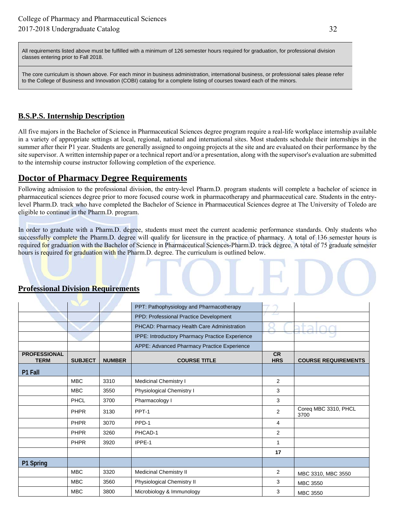All requirements listed above must be fulfilled with a minimum of 126 semester hours required for graduation, for professional division classes entering prior to Fall 2018.

The core curriculum is shown above. For each minor in business administration, international business, or professional sales please refer to the College of Business and Innovation (COBI) catalog for a complete listing of courses toward each of the minors.

### **B.S.P.S. Internship Description**

All five majors in the Bachelor of Science in Pharmaceutical Sciences degree program require a real-life workplace internship available in a variety of appropriate settings at local, regional, national and international sites. Most students schedule their internships in the summer after their P1 year. Students are generally assigned to ongoing projects at the site and are evaluated on their performance by the site supervisor. A written internship paper or a technical report and/or a presentation, along with the supervisor's evaluation are submitted to the internship course instructor following completion of the experience.

### **Doctor of Pharmacy Degree Requirements**

Following admission to the professional division, the entry-level Pharm.D. program students will complete a bachelor of science in pharmaceutical sciences degree prior to more focused course work in pharmacotherapy and pharmaceutical care. Students in the entrylevel Pharm.D. track who have completed the Bachelor of Science in Pharmaceutical Sciences degree at The University of Toledo are eligible to continue in the Pharm.D. program.

In order to graduate with a Pharm.D. degree, students must meet the current academic performance standards. Only students who successfully complete the Pharm.D. degree will qualify for licensure in the practice of pharmacy. A total of 136 semester hours is required for graduation with the Bachelor of Science in Pharmaceutical Sciences-Pharm.D. track degree. A total of 75 graduate semester hours is required for graduation with the Pharm.D. degree. The curriculum is outlined below.

|                                    |                |               | PPT: Pathophysiology and Pharmacotherapy        |                         |                              |
|------------------------------------|----------------|---------------|-------------------------------------------------|-------------------------|------------------------------|
|                                    |                |               | PPD: Professional Practice Development          | فتشكلت                  |                              |
|                                    |                |               | PHCAD: Pharmacy Health Care Administration      |                         |                              |
|                                    |                |               | IPPE: Introductory Pharmacy Practice Experience |                         |                              |
|                                    |                |               | APPE: Advanced Pharmacy Practice Experience     |                         |                              |
| <b>PROFESSIONAL</b><br><b>TERM</b> | <b>SUBJECT</b> | <b>NUMBER</b> | <b>COURSE TITLE</b>                             | <b>CR</b><br><b>HRS</b> | <b>COURSE REQUIREMENTS</b>   |
| P1 Fall                            |                |               |                                                 |                         |                              |
|                                    | <b>MBC</b>     | 3310          | Medicinal Chemistry I                           | $\overline{2}$          |                              |
|                                    | <b>MBC</b>     | 3550          | Physiological Chemistry I                       | 3                       |                              |
|                                    | PHCL           | 3700          | Pharmacology I                                  | 3                       |                              |
|                                    | <b>PHPR</b>    | 3130          | PPT-1                                           | 2                       | Coreq MBC 3310, PHCL<br>3700 |
|                                    | <b>PHPR</b>    | 3070          | PPD-1                                           | 4                       |                              |
|                                    | <b>PHPR</b>    | 3260          | PHCAD-1                                         | 2                       |                              |
|                                    | <b>PHPR</b>    | 3920          | IPPE-1                                          | 1                       |                              |
|                                    |                |               |                                                 | 17                      |                              |
| P1 Spring                          |                |               |                                                 |                         |                              |
|                                    | <b>MBC</b>     | 3320          | Medicinal Chemistry II                          | $\overline{2}$          | MBC 3310, MBC 3550           |
|                                    | <b>MBC</b>     | 3560          | Physiological Chemistry II                      | 3                       | <b>MBC 3550</b>              |
|                                    | <b>MBC</b>     | 3800          | Microbiology & Immunology                       | 3                       | <b>MBC 3550</b>              |

#### **Professional Division Requirements**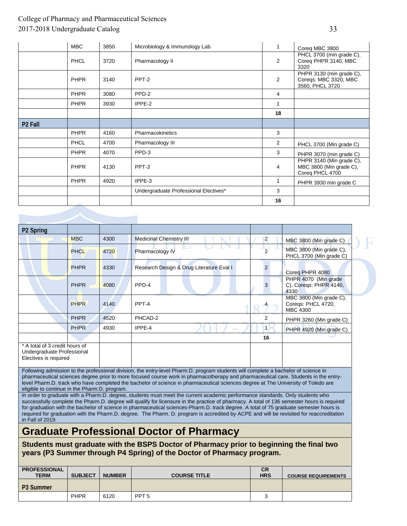|                     | <b>MBC</b>  | 3850 | Microbiology & Immunology Lab         | 1  | Coreq MBC 3800                                                         |
|---------------------|-------------|------|---------------------------------------|----|------------------------------------------------------------------------|
|                     | <b>PHCL</b> | 3720 | Pharmacology II                       | 2  | PHCL 3700 (min grade C),<br>Coreq PHPR 3140, MBC<br>3320               |
|                     | <b>PHPR</b> | 3140 | PPT-2                                 | 2  | PHPR 3130 (min grade C),<br>Coreqs: MBC 3320, MBC<br>3560, PHCL 3720   |
|                     | <b>PHPR</b> | 3080 | PPD-2                                 | 4  |                                                                        |
|                     | <b>PHPR</b> | 3930 | IPPE-2                                | 1  |                                                                        |
|                     |             |      |                                       | 18 |                                                                        |
| P <sub>2</sub> Fall |             |      |                                       |    |                                                                        |
|                     | <b>PHPR</b> | 4160 | Pharmacokinetics                      | 3  |                                                                        |
|                     | <b>PHCL</b> | 4700 | Pharmacology III                      | 2  | PHCL 3700 (Min grade C)                                                |
|                     | <b>PHPR</b> | 4070 | PPD-3                                 | 3  | PHPR 3070 (min grade C)                                                |
|                     | <b>PHPR</b> | 4130 | PPT-3                                 | 4  | PHPR 3140 (Min grade C),<br>MBC 3800 (Min grade C),<br>Coreq PHCL 4700 |
|                     | <b>PHPR</b> | 4920 | IPPE-3                                | 1  | PHPR 3930 min grade C                                                  |
|                     |             |      | Undergraduate Professional Electives* | 3  |                                                                        |
|                     | <b>SANT</b> |      |                                       | 16 |                                                                        |

| P <sub>2</sub> Spring                                                                 |             |      |                                          |                |                                                                  |
|---------------------------------------------------------------------------------------|-------------|------|------------------------------------------|----------------|------------------------------------------------------------------|
|                                                                                       | <b>MBC</b>  | 4300 | <b>Medicinal Chemistry III</b>           | $\overline{2}$ | MBC 3800 (Min grade C)                                           |
|                                                                                       | <b>PHCL</b> | 4720 | Pharmacology IV                          | $\overline{2}$ | MBC 3800 (Min grade C),<br>PHCL 3700 (Min grade C)               |
|                                                                                       | <b>PHPR</b> | 4330 | Research Design & Drug Literature Eval I |                | Coreg PHPR 4080                                                  |
|                                                                                       | <b>PHPR</b> | 4080 | PPD-4                                    | 3              | PHPR 4070 (Min grade<br>C), Coreqs: PHPR 4140,<br>4330           |
|                                                                                       | <b>PHPR</b> | 4140 | PPT-4                                    |                | MBC 3800 (Min grade C),<br>Coreqs: PHCL 4720,<br><b>MBC 4300</b> |
|                                                                                       | <b>PHPR</b> | 4520 | PHCAD-2                                  | 2              | PHPR 3260 (Min grade C)                                          |
|                                                                                       | <b>PHPR</b> | 4930 | IPPE-4<br>$\frac{1}{2}$                  | 1              | PHPR 4920 (Min grade C)                                          |
|                                                                                       |             |      |                                          | 16             |                                                                  |
| * A total of 3 credit hours of<br>Undergraduate Professional<br>Electives is required |             |      |                                          |                |                                                                  |

Following admission to the professional division, the entry-level Pharm.D. program students will complete a bachelor of science in pharmaceutical sciences degree prior to more focused course work in pharmacotherapy and pharmaceutical care. Students in the entrylevel Pharm.D. track who have completed the bachelor of science in pharmaceutical sciences degree at The University of Toledo are eligible to continue in the Pharm.D. program.

In order to graduate with a Pharm.D. degree, students must meet the current academic performance standards. Only students who successfully complete the Pharm.D. degree will qualify for licensure in the practice of pharmacy. A total of 136 semester hours is required for graduation with the bachelor of science in pharmaceutical sciences-Pharm.D. track degree. A total of 75 graduate semester hours is required for graduation with the Pharm.D. degree. The Pharm. D. program is accredited by ACPE and will be revisited for reaccreditation in Fall of 2019.

## **Graduate Professional Doctor of Pharmacy**

**Students must graduate with the BSPS Doctor of Pharmacy prior to beginning the final two years (P3 Summer through P4 Spring) of the Doctor of Pharmacy program.** 

| <b>PROFESSIONAL</b><br><b>TERM</b> | <b>SUBJECT</b> | <b>NUMBER</b> | <b>COURSE TITLE</b> | <b>CR</b><br><b>HRS</b> | <b>COURSE REQUIREMENTS</b> |
|------------------------------------|----------------|---------------|---------------------|-------------------------|----------------------------|
| P <sub>3</sub> Summer              |                |               |                     |                         |                            |
|                                    | <b>PHPR</b>    | 6120          | PPT <sub>5</sub>    | ັ                       |                            |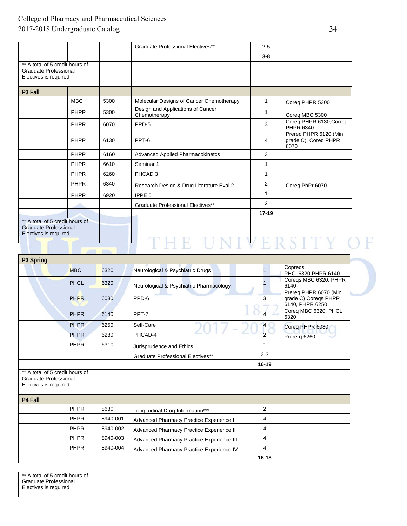|                                                                                          |             |      | Graduate Professional Electives**                 | $2 - 5$ |                                                       |
|------------------------------------------------------------------------------------------|-------------|------|---------------------------------------------------|---------|-------------------------------------------------------|
|                                                                                          |             |      |                                                   | $3-8$   |                                                       |
| ** A total of 5 credit hours of<br><b>Graduate Professional</b><br>Electives is required |             |      |                                                   |         |                                                       |
| P <sub>3</sub> Fall                                                                      |             |      |                                                   |         |                                                       |
|                                                                                          | <b>MBC</b>  | 5300 | Molecular Designs of Cancer Chemotherapy          | 1       | Coreg PHPR 5300                                       |
|                                                                                          | <b>PHPR</b> | 5300 | Design and Applications of Cancer<br>Chemotherapy | 1       | Coreq MBC 5300                                        |
|                                                                                          | <b>PHPR</b> | 6070 | PPD-5                                             | 3       | Coreq PHPR 6130, Coreq<br>PHPR 6340                   |
|                                                                                          | <b>PHPR</b> | 6130 | PPT-6                                             | 4       | Prereq PHPR 6120 (Min<br>grade C), Coreg PHPR<br>6070 |
|                                                                                          | <b>PHPR</b> | 6160 | Advanced Applied Pharmacokinetcs                  | 3       |                                                       |
|                                                                                          | <b>PHPR</b> | 6610 | Seminar 1                                         | 1       |                                                       |
|                                                                                          | <b>PHPR</b> | 6260 | PHCAD <sub>3</sub>                                | 1       |                                                       |
|                                                                                          | <b>PHPR</b> | 6340 | Research Design & Drug Literature Eval 2          | 2       | Coreq PhPr 6070                                       |
|                                                                                          | <b>PHPR</b> | 6920 | IPPE <sub>5</sub>                                 | 1       |                                                       |
|                                                                                          |             |      | Graduate Professional Electives**                 | 2       |                                                       |
|                                                                                          |             |      |                                                   | $17-19$ |                                                       |
| ** A total of 5 credit hours of<br><b>Graduate Professional</b><br>Electives is required |             |      |                                                   |         |                                                       |

| P3 Spring                                                                         |             |          |                                           |                |                                                                  |
|-----------------------------------------------------------------------------------|-------------|----------|-------------------------------------------|----------------|------------------------------------------------------------------|
|                                                                                   | <b>MBC</b>  | 6320     | Neurological & Psychiatric Drugs          |                | Copregs<br>PHCL6320, PHPR 6140                                   |
|                                                                                   | <b>PHCL</b> | 6320     | Neurological & Psychiatric Pharmacology   |                | Coregs MBC 6320, PHPR<br>6140                                    |
|                                                                                   | <b>PHPR</b> | 6080     | PPD-6                                     | 3              | Prereq PHPR 6070 (Min<br>grade C) Coregs PHPR<br>6140, PHPR 6250 |
|                                                                                   | <b>PHPR</b> | 6140     | PPT-7                                     |                | Coreg MBC 6320, PHCL<br>6320                                     |
|                                                                                   | <b>PHPR</b> | 6250     | Self-Care                                 | $\overline{4}$ | Coreq PHPR 6080                                                  |
|                                                                                   | <b>PHPR</b> | 6280     | PHCAD-4                                   | $\overline{2}$ | Prererq 6260                                                     |
|                                                                                   | <b>PHPR</b> | 6310     | Jurisprudence and Ethics                  | 1              |                                                                  |
|                                                                                   |             |          | Graduate Professional Electives**         | $2 - 3$        |                                                                  |
|                                                                                   |             |          |                                           | $16 - 19$      |                                                                  |
| ** A total of 5 credit hours of<br>Graduate Professional<br>Electives is required |             |          |                                           |                |                                                                  |
| P4 Fall                                                                           |             |          |                                           |                |                                                                  |
|                                                                                   | <b>PHPR</b> | 8630     | Longitudinal Drug Information***          | $\overline{2}$ |                                                                  |
|                                                                                   | <b>PHPR</b> | 8940-001 | Advanced Pharmacy Practice Experience I   | 4              |                                                                  |
|                                                                                   | <b>PHPR</b> | 8940-002 | Advanced Pharmacy Practice Experience II  | 4              |                                                                  |
|                                                                                   | <b>PHPR</b> | 8940-003 | Advanced Pharmacy Practice Experience III | 4              |                                                                  |
|                                                                                   | <b>PHPR</b> | 8940-004 | Advanced Pharmacy Practice Experience IV  | 4              |                                                                  |
|                                                                                   |             |          |                                           | $16 - 18$      |                                                                  |

| ** A total of 5 credit hours of<br>Graduate Professional<br>Electives is required |  |  |  |  |
|-----------------------------------------------------------------------------------|--|--|--|--|
|-----------------------------------------------------------------------------------|--|--|--|--|

F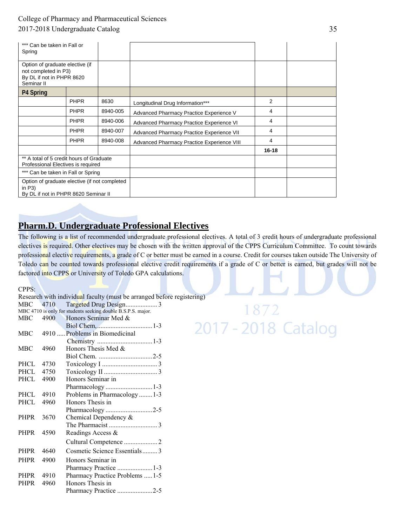| *** Can be taken in Fall or<br>Spring                                                              |             |          |                                            |           |  |
|----------------------------------------------------------------------------------------------------|-------------|----------|--------------------------------------------|-----------|--|
| Option of graduate elective (if<br>not completed in P3)<br>By DL if not in PHPR 8620<br>Seminar II |             |          |                                            |           |  |
| P4 Spring                                                                                          |             |          |                                            |           |  |
|                                                                                                    | <b>PHPR</b> | 8630     | Longitudinal Drug Information***           | 2         |  |
|                                                                                                    | <b>PHPR</b> | 8940-005 | Advanced Pharmacy Practice Experience V    | 4         |  |
|                                                                                                    | <b>PHPR</b> | 8940-006 | Advanced Pharmacy Practice Experience VI   | 4         |  |
|                                                                                                    | <b>PHPR</b> | 8940-007 | Advanced Pharmacy Practice Experience VII  | 4         |  |
|                                                                                                    | <b>PHPR</b> | 8940-008 | Advanced Pharmacy Practice Experience VIII | 4         |  |
|                                                                                                    |             |          |                                            | $16 - 18$ |  |
| ** A total of 5 credit hours of Graduate<br>Professional Electives is required                     |             |          |                                            |           |  |
| *** Can be taken in Fall or Spring                                                                 |             |          |                                            |           |  |
| Option of graduate elective (if not completed<br>in $P3$ )<br>By DL if not in PHPR 8620 Seminar II |             |          |                                            |           |  |

## **Pharm.D. Undergraduate Professional Electives**

The following is a list of recommended undergraduate professional electives. A total of 3 credit hours of undergraduate professional electives is required. Other electives may be chosen with the written approval of the CPPS Curriculum Committee.To count towards professional elective requirements, a grade of C or better must be earned in a course. Credit for courses taken outside The University of Toledo can be counted towards professional elective credit requirements if a grade of C or better is earned, but grades will not be factored into CPPS or University of Toledo GPA calculations.

CPPS:

Research with individual faculty (must be arranged before registering) MBC 4710 Targeted Drug Design ................... 3 MBC 4710 is only for students seeking double B.S.P.S. major. MBC 4900 Honors Seminar Med & Biol Chem, ................................. 1-3 MBC 4910 ..... Problems in Biomedicinal

|      | 4910  Problems in Biomedicinal  |
|------|---------------------------------|
|      |                                 |
| 4960 | Honors Thesis Med $&$           |
|      |                                 |
| 4730 |                                 |
| 4750 |                                 |
| 4900 | Honors Seminar in               |
|      | Pharmacology 1-3                |
| 4910 | Problems in Pharmacology  1-3   |
| 4960 | Honors Thesis in                |
|      |                                 |
| 3670 | Chemical Dependency $\&$        |
|      |                                 |
| 4590 | Readings Access &               |
|      |                                 |
| 4640 | Cosmetic Science Essentials3    |
| 4900 | Honors Seminar in               |
|      | Pharmacy Practice 1-3           |
| 4910 | Pharmacy Practice Problems  1-5 |
| 4960 | Honors Thesis in                |
|      | Pharmacy Practice 2-5           |
|      | PHCL<br>PHPR<br>PHPR            |

872 2017 - 2018 Catalog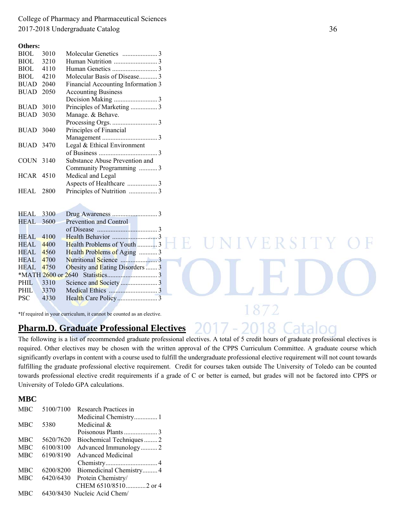**Others:** 

| <b>BIOL</b>      | 3010   |                                    |
|------------------|--------|------------------------------------|
| BIOL             | 3210   |                                    |
| <b>BIOL</b>      | 4110   |                                    |
| BIOL             | 4210   | Molecular Basis of Disease3        |
| <b>BUAD</b>      | 2040   | Financial Accounting Information 3 |
| <b>BUAD</b>      | 2050   | <b>Accounting Business</b>         |
|                  |        |                                    |
| BUAD             | 3010   | Principles of Marketing 3          |
| BUAD             | 3030   | Manage. & Behave.                  |
|                  |        |                                    |
| <b>BUAD</b> 3040 |        | Principles of Financial            |
|                  |        |                                    |
| <b>BUAD</b> 3470 |        | Legal & Ethical Environment        |
|                  |        |                                    |
| COUN 3140        |        | Substance Abuse Prevention and     |
|                  |        | Community Programming 3            |
| <b>HCAR</b> 4510 |        | Medical and Legal                  |
|                  |        |                                    |
| HEAL             | - 2800 |                                    |
|                  |        |                                    |

| <b>HEAL</b> 3300 |       |                                 |
|------------------|-------|---------------------------------|
| <b>HEAL</b> 3600 |       | Prevention and Control          |
|                  |       |                                 |
| <b>HEAL</b>      | -4100 |                                 |
| HEAL             | 4400  | Health Problems of Youth 3      |
| HEAL             | 4560  | Health Problems of Aging  3     |
| HEAL             | 4700  |                                 |
| <b>HEAL</b>      | 4750  | Obesity and Eating Disorders  3 |
|                  |       |                                 |
| PHIL.            | 3310  |                                 |
| PHIL 3370        |       |                                 |
| <b>PSC</b>       | 4330  |                                 |
|                  |       |                                 |

\*If required in your curriculum, it cannot be counted as an elective.

### **Pharm.D. Graduate Professional Electives**

The following is a list of recommended graduate professional electives. A total of 5 credit hours of graduate professional electives is required. Other electives may be chosen with the written approval of the CPPS Curriculum Committee. A graduate course which significantly overlaps in content with a course used to fulfill the undergraduate professional elective requirement will not count towards fulfilling the graduate professional elective requirement. Credit for courses taken outside The University of Toledo can be counted towards professional elective credit requirements if a grade of C or better is earned, but grades will not be factored into CPPS or University of Toledo GPA calculations.

F

#### **MBC**

| <b>MBC</b> | 5100/7100 | Research Practices in        |
|------------|-----------|------------------------------|
|            |           |                              |
| <b>MBC</b> | 5380      | Medicinal &                  |
|            |           |                              |
| <b>MBC</b> | 5620/7620 | Biochemical Techniques2      |
| <b>MBC</b> | 6100/8100 | Advanced Immunology2         |
| <b>MBC</b> | 6190/8190 | <b>Advanced Medicinal</b>    |
|            |           |                              |
| <b>MBC</b> | 6200/8200 | Biomedicinal Chemistry4      |
| <b>MBC</b> | 6420/6430 | Protein Chemistry/           |
|            |           | CHEM 6510/85102 or 4         |
| <b>MBC</b> |           | 6430/8430 Nucleic Acid Chem/ |

ERST

1872

2018.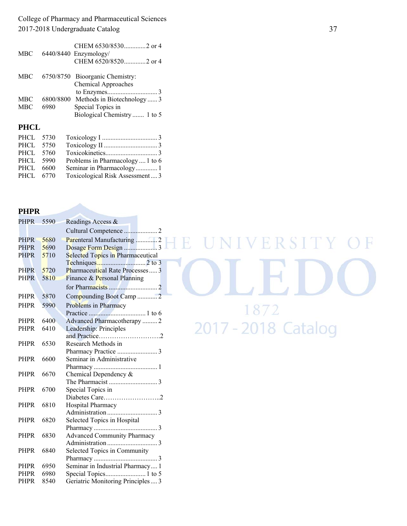| <b>MBC</b> |           | CHEM 6530/85302 or 4<br>6440/8440 Enzymology/<br>CHEM 6520/85202 or 4 |
|------------|-----------|-----------------------------------------------------------------------|
| MBC.       |           | 6750/8750 Bioorganic Chemistry:<br><b>Chemical Approaches</b>         |
| MBC        | 6800/8800 | Methods in Biotechnology3                                             |
|            |           |                                                                       |
| <b>MBC</b> | 6980      | Special Topics in                                                     |
|            |           | Biological Chemistry 1 to 5                                           |

#### **PHCL**

| PHCL 5730 |                                  |
|-----------|----------------------------------|
| PHCL 5750 |                                  |
| PHCL 5760 |                                  |
| PHCL 5990 | Problems in Pharmacology  1 to 6 |
| PHCL 6600 |                                  |
| PHCL 6770 | Toxicological Risk Assessment 3  |
|           |                                  |

#### **PHPR**

| <b>PHPR</b> | 5590 | Readings Access &                  |
|-------------|------|------------------------------------|
|             |      | Cultural Competence 2              |
| <b>PHPR</b> | 5680 | Parenteral Manufacturing 2         |
| <b>PHPR</b> | 5690 | Dosage Form Design 3               |
| <b>PHPR</b> | 5710 | Selected Topics in Pharmaceutical  |
|             |      |                                    |
| <b>PHPR</b> | 5720 | Pharmaceutical Rate Processes 3    |
| <b>PHPR</b> | 5810 | Finance & Personal Planning        |
|             |      |                                    |
| <b>PHPR</b> | 5870 | Compounding Boot Camp 2            |
| <b>PHPR</b> | 5990 | Problems in Pharmacy               |
|             |      |                                    |
| <b>PHPR</b> | 6400 | Advanced Pharmacotherapy  2        |
| <b>PHPR</b> | 6410 | Leadership: Principles             |
|             |      | and Practice2                      |
| <b>PHPR</b> | 6530 | Research Methods in                |
|             |      |                                    |
| <b>PHPR</b> | 6600 | Seminar in Administrative          |
|             |      |                                    |
| <b>PHPR</b> | 6670 | Chemical Dependency &              |
|             |      |                                    |
| <b>PHPR</b> | 6700 | Special Topics in                  |
|             |      | Diabetes Care2                     |
| <b>PHPR</b> | 6810 | Hospital Pharmacy                  |
|             |      |                                    |
| <b>PHPR</b> | 6820 | Selected Topics in Hospital        |
|             |      |                                    |
| <b>PHPR</b> | 6830 | <b>Advanced Community Pharmacy</b> |
|             |      |                                    |
| <b>PHPR</b> | 6840 | Selected Topics in Community       |
|             |      |                                    |
| <b>PHPR</b> | 6950 | Seminar in Industrial Pharmacy 1   |
| <b>PHPR</b> | 6980 |                                    |
| <b>PHPR</b> | 8540 | Geriatric Monitoring Principles  3 |

# HE UNIVERSITY  $\mathbb H$  $\bigcirc$ OLED 1872 2017 - 2018 Catalog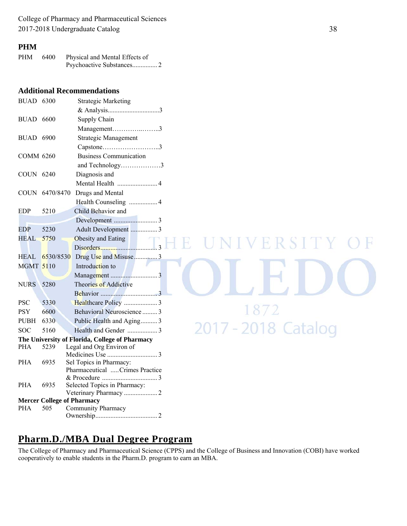#### **PHM**

| <b>PHM</b> | -6400 | Physical and Mental Effects of |
|------------|-------|--------------------------------|
|            |       |                                |

#### **Additional Recommendations**

| <b>BUAD 6300</b>                               |                                   | <b>Strategic Marketing</b>     |
|------------------------------------------------|-----------------------------------|--------------------------------|
|                                                |                                   |                                |
| <b>BUAD 6600</b>                               |                                   | Supply Chain                   |
|                                                |                                   | Management3                    |
| <b>BUAD 6900</b>                               |                                   | Strategic Management           |
|                                                |                                   | Capstone3                      |
| <b>COMM 6260</b>                               |                                   | <b>Business Communication</b>  |
|                                                |                                   | and Technology3                |
| COUN 6240                                      |                                   | Diagnosis and                  |
|                                                |                                   |                                |
|                                                | COUN 6470/8470                    | Drugs and Mental               |
|                                                |                                   |                                |
| <b>EDP</b>                                     | 5210                              | Child Behavior and             |
|                                                |                                   |                                |
| <b>EDP</b>                                     | 5230                              | Adult Development  3           |
| <b>HEAL</b>                                    | 5750                              | Obesity and Eating             |
|                                                |                                   |                                |
| HEAL                                           | 6530/8530                         | Drug Use and Misuse 3          |
| <b>MGMT 5110</b>                               |                                   | Introduction to                |
|                                                |                                   |                                |
| <b>NURS</b>                                    | 5280                              | Theories of Addictive          |
|                                                |                                   |                                |
| <b>PSC</b>                                     | 5330                              |                                |
| <b>PSY</b>                                     | 6600                              | Behavioral Neuroscience  3     |
| <b>PUBH</b>                                    | 6330                              | Public Health and Aging3       |
| <b>SOC</b>                                     | 5160                              | 2017 - 2018 Catalog            |
| The University of Florida, College of Pharmacy |                                   |                                |
| <b>PHA</b>                                     | 5239                              | Legal and Org Environ of       |
| <b>PHA</b>                                     | 6935                              | Sel Topics in Pharmacy:        |
|                                                |                                   | Pharmaceutical Crimes Practice |
|                                                |                                   |                                |
| <b>PHA</b>                                     | 6935                              | Selected Topics in Pharmacy:   |
|                                                |                                   |                                |
|                                                | <b>Mercer College of Pharmacy</b> |                                |
| <b>PHA</b>                                     | 505                               | Community Pharmacy             |
|                                                |                                   |                                |

## **Pharm.D./MBA Dual Degree Program**

The College of Pharmacy and Pharmaceutical Science (CPPS) and the College of Business and Innovation (COBI) have worked cooperatively to enable students in the Pharm.D. program to earn an MBA.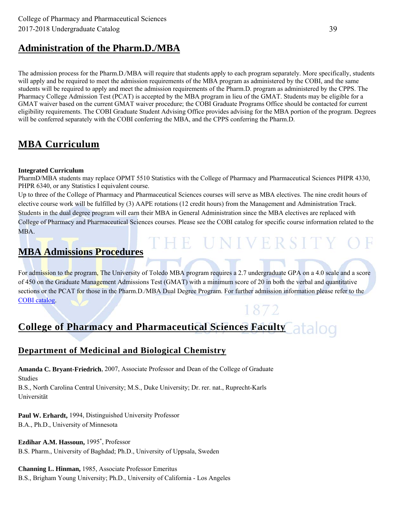## **Administration of the Pharm.D./MBA**

The admission process for the Pharm.D./MBA will require that students apply to each program separately. More specifically, students will apply and be required to meet the admission requirements of the MBA program as administered by the COBI, and the same students will be required to apply and meet the admission requirements of the Pharm.D. program as administered by the CPPS. The Pharmacy College Admission Test (PCAT) is accepted by the MBA program in lieu of the GMAT. Students may be eligible for a GMAT waiver based on the current GMAT waiver procedure; the COBI Graduate Programs Office should be contacted for current eligibility requirements. The COBI Graduate Student Advising Office provides advising for the MBA portion of the program. Degrees will be conferred separately with the COBI conferring the MBA, and the CPPS conferring the Pharm.D.

## **MBA Curriculum**

#### **Integrated Curriculum**

PharmD/MBA students may replace OPMT 5510 Statistics with the College of Pharmacy and Pharmaceutical Sciences PHPR 4330, PHPR 6340, or any Statistics I equivalent course.

Up to three of the College of Pharmacy and Pharmaceutical Sciences courses will serve as MBA electives. The nine credit hours of elective course work will be fulfilled by (3) AAPE rotations (12 credit hours) from the Management and Administration Track. Students in the dual degree program will earn their MBA in General Administration since the MBA electives are replaced with College of Pharmacy and Pharmaceutical Sciences courses. Please see the COBI catalog for specific course information related to the MBA.

THE UNIVERSITY

## **MBA Admissions Procedures**

For admission to the program, The University of Toledo MBA program requires a 2.7 undergraduate GPA on a 4.0 scale and a score of 450 on the Graduate Management Admissions Test (GMAT) with a minimum score of 20 in both the verbal and quantitative sections or the PCAT for those in the Pharm.D./MBA Dual Degree Program. For further admission information please refer to the COBI catalog.

## **College of Pharmacy and Pharmaceutical Sciences Faculty**

### **Department of Medicinal and Biological Chemistry**

**Amanda C. Bryant-Friedrich**, 2007, Associate Professor and Dean of the College of Graduate Studies

B.S., North Carolina Central University; M.S., Duke University; Dr. rer. nat., Ruprecht-Karls Universität

**Paul W. Erhardt,** 1994, Distinguished University Professor B.A., Ph.D., University of Minnesota

**Ezdihar A.M. Hassoun,** 1995\* , Professor B.S. Pharm., University of Baghdad; Ph.D., University of Uppsala, Sweden

**Channing L. Hinman,** 1985, Associate Professor Emeritus B.S., Brigham Young University; Ph.D., University of California - Los Angeles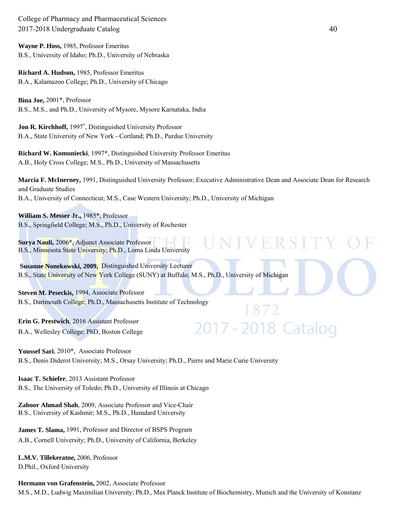**Wayne P. Hoss,** 1985, Professor Emeritus B.S., University of Idaho; Ph.D., University of Nebraska

**Richard A. Hudson,** 1985, Professor Emeritus B.A., Kalamazoo College; Ph.D., University of Chicago

**Bina Joe,** 2001\*, Professor B.S., M.S., and Ph.D., University of Mysore, Mysore Karnataka, India

**Jon R. Kirchhoff,** 1997\* , Distinguished University Professor B.A., State University of New York - Cortland; Ph.D., Purdue University

**Richard W. Komuniecki**, 1997\*, Distinguished University Professor Emeritus A.B., Holy Cross College; M.S., Ph.D., University of Massachusetts

**Marcia F. McInerney,** 1991, Distinguished University Professor; Executive Administrative Dean and Associate Dean for Research and Graduate Studies B.A., University of Connecticut; M.S., Case Western University; Ph.D., University of Michigan

VIVER SI

2017 - 2018 Catalog

**William S. Messer Jr.,** 1985\*, Professor B.S., Springfield College; M.S., Ph.D., University of Rochester

**Surya Nauli,** 2006\*, Adjunct Associate Professor B.S., Minnesota State University; Ph.D., Loma Linda University

**Susanne Nonekowski, 2009,** Distinguished University Lecturer B.S., State University of New York College (SUNY) at Buffalo; M.S., Ph.D., University of Michigan

**Steven M. Peseckis,** 1994, Associate Professor B.S., Dartmouth College; Ph.D., Massachusetts Institute of Technology

**Erin G. Prestwich**, 2016 Assistant Professor B.A., Wellesley College; PhD, Boston College

**Youssef Sari**, 2010\*, Associate Professor B.S., Denis Diderot University; M.S., Orsay University; Ph.D., Pierre and Marie Curie University

**Isaac T. Schiefer**, 2013 Assistant Professor B.S., The University of Toledo; Ph.D., University of Illinois at Chicago

**Zahoor Ahmad Shah**, 2009, Associate Professor and Vice-Chair B.S., University of Kashmir; M.S., Ph.D., Hamdard University

**James T. Slama,** 1991, Professor and Director of BSPS Program A.B., Cornell University; Ph.D., University of California, Berkeley

**L.M.V. Tillekeratne,** 2006, Professor D.Phil., Oxford University

**Hermann von Grafenstein,** 2002, Associate Professor M.S., M.D., Ludwig Maximilian University; Ph.D., Max Planck Institute of Biochemistry, Munich and the University of Konstanz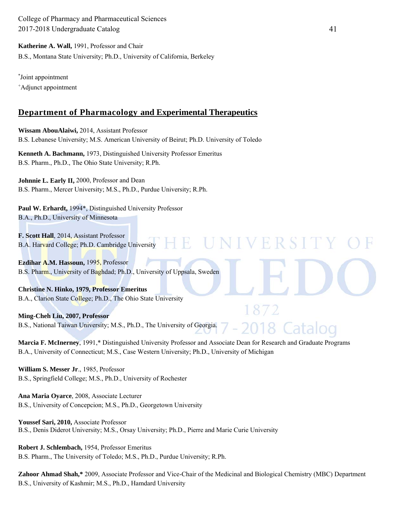**Katherine A. Wall,** 1991, Professor and Chair

B.S., Montana State University; Ph.D., University of California, Berkeley

\* Joint appointment + Adjunct appointment

### **Department of Pharmacology and Experimental Therapeutics**

**Wissam AbouAlaiwi,** 2014, Assistant Professor B.S. Lebanese University; M.S. American University of Beirut; Ph.D. University of Toledo

**Kenneth A. Bachmann,** 1973, Distinguished University Professor Emeritus B.S. Pharm., Ph.D., The Ohio State University; R.Ph.

**Johnnie L. Early II,** 2000, Professor and Dean B.S. Pharm., Mercer University; M.S., Ph.D., Purdue University; R.Ph.

Paul W. Erhardt, 1994\*, Distinguished University Professor B.A., Ph.D., University of Minnesota

**F. Scott Hall**, 2014, Assistant Professor B.A. Harvard College; Ph.D. Cambridge University

**Ezdihar A.M. Hassoun,** 1995, Professor B.S. Pharm., University of Baghdad; Ph.D., University of Uppsala, Sweden

**Christine N. Hinko, 1979, Professor Emeritus**  B.A., Clarion State College; Ph.D., The Ohio State University

**Ming-Cheh Liu, 2007, Professor**  B.S., National Taiwan University; M.S., Ph.D., The University of Georgia.

**Marcia F. McInerney**, 1991,\* Distinguished University Professor and Associate Dean for Research and Graduate Programs B.A., University of Connecticut; M.S., Case Western University; Ph.D., University of Michigan

H E

**William S. Messer Jr**., 1985, Professor B.S., Springfield College; M.S., Ph.D., University of Rochester

**Ana Maria Oyarce**, 2008, Associate Lecturer B.S., University of Concepcion; M.S., Ph.D., Georgetown University

**Youssef Sari, 2010,** Associate Professor B.S., Denis Diderot University; M.S., Orsay University; Ph.D., Pierre and Marie Curie University

**Robert J. Schlembach,** 1954, Professor Emeritus B.S. Pharm., The University of Toledo; M.S., Ph.D., Purdue University; R.Ph.

**Zahoor Ahmad Shah,\*** 2009, Associate Professor and Vice-Chair of the Medicinal and Biological Chemistry (MBC) Department B.S., University of Kashmir; M.S., Ph.D., Hamdard University

IE R S 1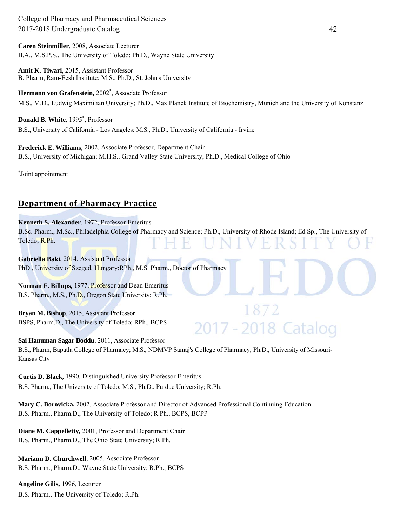**Caren Steinmiller**, 2008, Associate Lecturer B.A., M.S.P.S., The University of Toledo; Ph.D., Wayne State University

**Amit K. Tiwari**, 2015, Assistant Professor B. Pharm, Ram-Eesh Institute; M.S., Ph.D., St. John's University

**Hermann von Grafenstein,** 2002\* , Associate Professor M.S., M.D., Ludwig Maximilian University; Ph.D., Max Planck Institute of Biochemistry, Munich and the University of Konstanz

**Donald B. White,** 1995\* , Professor B.S., University of California - Los Angeles; M.S., Ph.D., University of California - Irvine

**Frederick E. Williams,** 2002, Associate Professor, Department Chair B.S., University of Michigan; M.H.S., Grand Valley State University; Ph.D., Medical College of Ohio

\* Joint appointment

### **Department of Pharmacy Practice**

**Kenneth S. Alexander**, 1972, Professor Emeritus B.Sc. Pharm., M.Sc., Philadelphia College of Pharmacy and Science; Ph.D., University of Rhode Island; Ed Sp., The University of Toledo; R.Ph.

872

2017 - 2018 Catalog

**Gabriella Baki,** 2014, Assistant Professor PhD., University of Szeged, Hungary; RPh., M.S. Pharm., Doctor of Pharmacy

**Norman F. Billups,** 1977, Professor and Dean Emeritus B.S. Pharm., M.S., Ph.D., Oregon State University; R.Ph.

**Bryan M. Bishop**, 2015, Assistant Professor BSPS, Pharm.D., The University of Toledo; RPh., BCPS

**Sai Hanuman Sagar Boddu**, 2011, Associate Professor B.S., Pharm, Bapatla College of Pharmacy; M.S., NDMVP Samaj's College of Pharmacy; Ph.D., University of Missouri-Kansas City

**Curtis D. Black,** 1990, Distinguished University Professor Emeritus B.S. Pharm., The University of Toledo; M.S., Ph.D., Purdue University; R.Ph.

**Mary C. Borovicka,** 2002, Associate Professor and Director of Advanced Professional Continuing Education B.S. Pharm., Pharm.D., The University of Toledo; R.Ph., BCPS, BCPP

**Diane M. Cappelletty,** 2001, Professor and Department Chair B.S. Pharm., Pharm.D., The Ohio State University; R.Ph.

**Mariann D. Churchwell**, 2005, Associate Professor B.S. Pharm., Pharm.D., Wayne State University; R.Ph., BCPS

**Angeline Gilis,** 1996, Lecturer B.S. Pharm., The University of Toledo; R.Ph.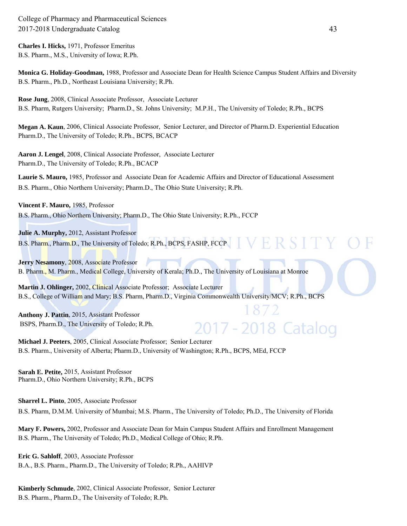**Charles I. Hicks,** 1971, Professor Emeritus B.S. Pharm., M.S., University of Iowa; R.Ph.

**Monica G. Holiday-Goodman,** 1988, Professor and Associate Dean for Health Science Campus Student Affairs and Diversity B.S. Pharm., Ph.D., Northeast Louisiana University; R.Ph.

**Rose Jung**, 2008, Clinical Associate Professor, Associate Lecturer B.S. Pharm, Rutgers University; Pharm.D., St. Johns University; M.P.H., The University of Toledo; R.Ph., BCPS

**Megan A. Kaun**, 2006, Clinical Associate Professor, Senior Lecturer, and Director of Pharm.D. Experiential Education Pharm.D., The University of Toledo; R.Ph., BCPS, BCACP

**Aaron J. Lengel**, 2008, Clinical Associate Professor, Associate Lecturer Pharm.D., The University of Toledo; R.Ph., BCACP

**Laurie S. Mauro,** 1985, Professor and Associate Dean for Academic Affairs and Director of Educational Assessment B.S. Pharm., Ohio Northern University; Pharm.D., The Ohio State University; R.Ph.

**Vincent F. Mauro,** 1985, Professor

B.S. Pharm., Ohio Northern University; Pharm.D., The Ohio State University; R.Ph., FCCP

**Julie A. Murphy,** 2012, Assistant Professor VERSIT B.S. Pharm., Pharm.D., The University of Toledo; R.Ph., BCPS, FASHP, FCCP

**Jerry Nesamony, 2008, Associate Professor** B. Pharm., M. Pharm., Medical College, University of Kerala; Ph.D., The University of Louisiana at Monroe

**Martin J. Ohlinger,** 2002, Clinical Associate Professor; Associate Lecturer B.S., College of William and Mary; B.S. Pharm, Pharm.D., Virginia Commonwealth University/MCV; R.Ph., BCPS

**Anthony J. Pattin**, 2015, Assistant Professor BSPS, Pharm.D., The University of Toledo; R.Ph.

# 2017 - 2018 Catalog

 $8/2$ 

**Michael J. Peeters**, 2005, Clinical Associate Professor; Senior Lecturer B.S. Pharm., University of Alberta; Pharm.D., University of Washington; R.Ph., BCPS, MEd, FCCP

**Sarah E. Petite,** 2015, Assistant Professor Pharm.D., Ohio Northern University; R.Ph., BCPS

**Sharrel L. Pinto**, 2005, Associate Professor

B.S. Pharm, D.M.M. University of Mumbai; M.S. Pharm., The University of Toledo; Ph.D., The University of Florida

**Mary F. Powers,** 2002, Professor and Associate Dean for Main Campus Student Affairs and Enrollment Management B.S. Pharm., The University of Toledo; Ph.D., Medical College of Ohio; R.Ph.

**Eric G. Sahloff**, 2003, Associate Professor B.A., B.S. Pharm., Pharm.D., The University of Toledo; R.Ph., AAHIVP

**Kimberly Schmude**, 2002, Clinical Associate Professor, Senior Lecturer B.S. Pharm., Pharm.D., The University of Toledo; R.Ph.